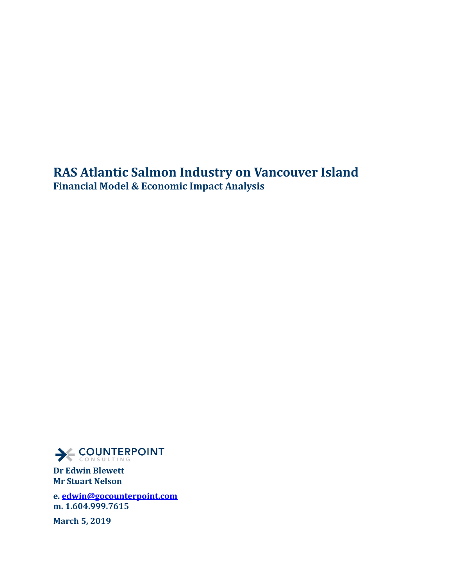**RAS Atlantic Salmon Industry on Vancouver Island Financial Model & Economic Impact Analysis** 



**Dr Edwin Blewett Mr Stuart Nelson**

**e[. edwin@gocounterpoint.com](mailto:edwin@gocounterpoint.com) m. 1.604.999.7615**

**March 5, 2019**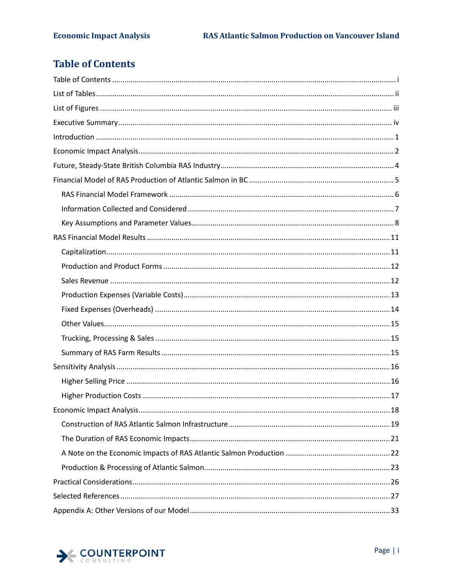# <span id="page-1-0"></span>**Table of Contents**

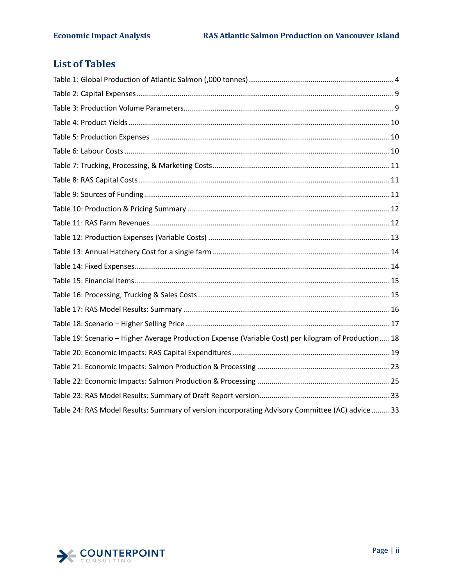# <span id="page-2-0"></span>**List of Tables**

| Table 19: Scenario - Higher Average Production Expense (Variable Cost) per kilogram of Production 18 |  |
|------------------------------------------------------------------------------------------------------|--|
|                                                                                                      |  |
|                                                                                                      |  |
|                                                                                                      |  |
|                                                                                                      |  |
| Table 24: RAS Model Results: Summary of version incorporating Advisory Committee (AC) advice  33     |  |

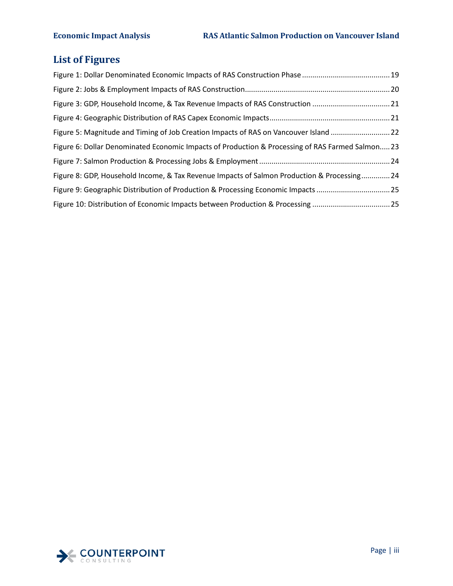# <span id="page-3-0"></span>**List of Figures**

| Figure 3: GDP, Household Income, & Tax Revenue Impacts of RAS Construction 21                    |  |
|--------------------------------------------------------------------------------------------------|--|
|                                                                                                  |  |
| Figure 5: Magnitude and Timing of Job Creation Impacts of RAS on Vancouver Island 22             |  |
| Figure 6: Dollar Denominated Economic Impacts of Production & Processing of RAS Farmed Salmon 23 |  |
|                                                                                                  |  |
| Figure 8: GDP, Household Income, & Tax Revenue Impacts of Salmon Production & Processing 24      |  |
| Figure 9: Geographic Distribution of Production & Processing Economic Impacts 25                 |  |
| Figure 10: Distribution of Economic Impacts between Production & Processing  25                  |  |

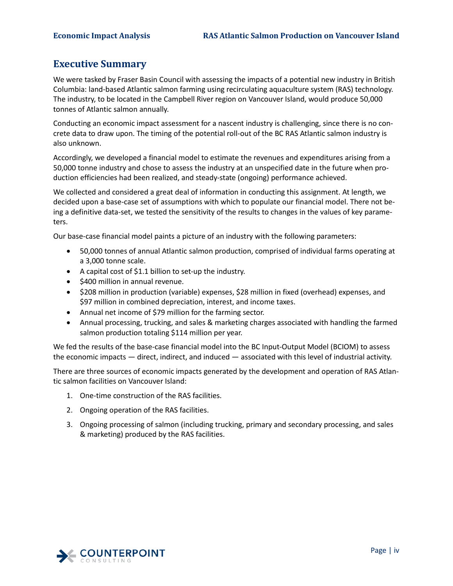# <span id="page-4-0"></span>**Executive Summary**

We were tasked by Fraser Basin Council with assessing the impacts of a potential new industry in British Columbia: land-based Atlantic salmon farming using recirculating aquaculture system (RAS) technology. The industry, to be located in the Campbell River region on Vancouver Island, would produce 50,000 tonnes of Atlantic salmon annually.

Conducting an economic impact assessment for a nascent industry is challenging, since there is no concrete data to draw upon. The timing of the potential roll-out of the BC RAS Atlantic salmon industry is also unknown.

Accordingly, we developed a financial model to estimate the revenues and expenditures arising from a 50,000 tonne industry and chose to assess the industry at an unspecified date in the future when production efficiencies had been realized, and steady-state (ongoing) performance achieved.

We collected and considered a great deal of information in conducting this assignment. At length, we decided upon a base-case set of assumptions with which to populate our financial model. There not being a definitive data-set, we tested the sensitivity of the results to changes in the values of key parameters.

Our base-case financial model paints a picture of an industry with the following parameters:

- 50,000 tonnes of annual Atlantic salmon production, comprised of individual farms operating at a 3,000 tonne scale.
- A capital cost of \$1.1 billion to set-up the industry.
- \$400 million in annual revenue.
- \$208 million in production (variable) expenses, \$28 million in fixed (overhead) expenses, and \$97 million in combined depreciation, interest, and income taxes.
- Annual net income of \$79 million for the farming sector.
- Annual processing, trucking, and sales & marketing charges associated with handling the farmed salmon production totaling \$114 million per year.

We fed the results of the base-case financial model into the BC Input-Output Model (BCIOM) to assess the economic impacts — direct, indirect, and induced — associated with this level of industrial activity.

There are three sources of economic impacts generated by the development and operation of RAS Atlantic salmon facilities on Vancouver Island:

- 1. One-time construction of the RAS facilities.
- 2. Ongoing operation of the RAS facilities.
- 3. Ongoing processing of salmon (including trucking, primary and secondary processing, and sales & marketing) produced by the RAS facilities.

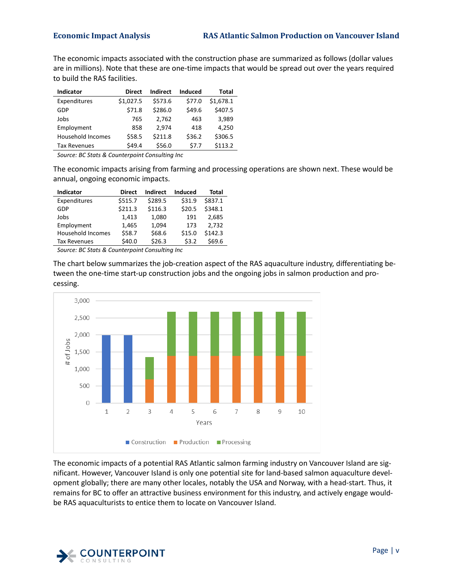The economic impacts associated with the construction phase are summarized as follows (dollar values are in millions). Note that these are one-time impacts that would be spread out over the years required to build the RAS facilities.

| <b>Indicator</b>         | <b>Direct</b> | Indirect | Induced | Total     |
|--------------------------|---------------|----------|---------|-----------|
| Expenditures             | \$1,027.5     | \$573.6  | \$77.0  | \$1,678.1 |
| GDP                      | \$71.8        | \$286.0  | \$49.6  | \$407.5   |
| Jobs                     | 765           | 2.762    | 463     | 3.989     |
| Employment               | 858           | 2.974    | 418     | 4,250     |
| <b>Household Incomes</b> | \$58.5        | \$211.8  | \$36.2  | \$306.5   |
| <b>Tax Revenues</b>      | \$49.4        | \$56.0   | \$7.7   | \$113.2   |

*Source: BC Stats & Counterpoint Consulting Inc* 

The economic impacts arising from farming and processing operations are shown next. These would be annual, ongoing economic impacts.

| <b>Indicator</b>         | <b>Direct</b> | Indirect | Induced | Total   |
|--------------------------|---------------|----------|---------|---------|
| Expenditures             | \$515.7       | \$289.5  | \$31.9  | \$837.1 |
| GDP                      | \$211.3       | \$116.3  | \$20.5  | \$348.1 |
| Jobs                     | 1,413         | 1,080    | 191     | 2,685   |
| Employment               | 1,465         | 1,094    | 173     | 2.732   |
| <b>Household Incomes</b> | \$58.7        | \$68.6   | \$15.0  | \$142.3 |
| <b>Tax Revenues</b>      | \$40.0        | \$26.3   | \$3.2   | \$69.6  |

*Source: BC Stats & Counterpoint Consulting Inc* 

The chart below summarizes the job-creation aspect of the RAS aquaculture industry, differentiating between the one-time start-up construction jobs and the ongoing jobs in salmon production and processing.



The economic impacts of a potential RAS Atlantic salmon farming industry on Vancouver Island are significant. However, Vancouver Island is only one potential site for land-based salmon aquaculture development globally; there are many other locales, notably the USA and Norway, with a head-start. Thus, it remains for BC to offer an attractive business environment for this industry, and actively engage wouldbe RAS aquaculturists to entice them to locate on Vancouver Island.

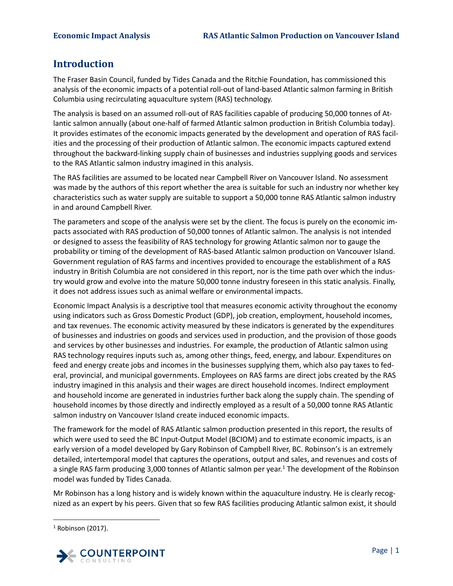# <span id="page-6-0"></span>**Introduction**

The Fraser Basin Council, funded by Tides Canada and the Ritchie Foundation, has commissioned this analysis of the economic impacts of a potential roll-out of land-based Atlantic salmon farming in British Columbia using recirculating aquaculture system (RAS) technology.

The analysis is based on an assumed roll-out of RAS facilities capable of producing 50,000 tonnes of Atlantic salmon annually (about one-half of farmed Atlantic salmon production in British Columbia today). It provides estimates of the economic impacts generated by the development and operation of RAS facilities and the processing of their production of Atlantic salmon. The economic impacts captured extend throughout the backward-linking supply chain of businesses and industries supplying goods and services to the RAS Atlantic salmon industry imagined in this analysis.

The RAS facilities are assumed to be located near Campbell River on Vancouver Island. No assessment was made by the authors of this report whether the area is suitable for such an industry nor whether key characteristics such as water supply are suitable to support a 50,000 tonne RAS Atlantic salmon industry in and around Campbell River.

The parameters and scope of the analysis were set by the client. The focus is purely on the economic impacts associated with RAS production of 50,000 tonnes of Atlantic salmon. The analysis is not intended or designed to assess the feasibility of RAS technology for growing Atlantic salmon nor to gauge the probability or timing of the development of RAS-based Atlantic salmon production on Vancouver Island. Government regulation of RAS farms and incentives provided to encourage the establishment of a RAS industry in British Columbia are not considered in this report, nor is the time path over which the industry would grow and evolve into the mature 50,000 tonne industry foreseen in this static analysis. Finally, it does not address issues such as animal welfare or environmental impacts.

Economic Impact Analysis is a descriptive tool that measures economic activity throughout the economy using indicators such as Gross Domestic Product (GDP), job creation, employment, household incomes, and tax revenues. The economic activity measured by these indicators is generated by the expenditures of businesses and industries on goods and services used in production, and the provision of those goods and services by other businesses and industries. For example, the production of Atlantic salmon using RAS technology requires inputs such as, among other things, feed, energy, and labour. Expenditures on feed and energy create jobs and incomes in the businesses supplying them, which also pay taxes to federal, provincial, and municipal governments. Employees on RAS farms are direct jobs created by the RAS industry imagined in this analysis and their wages are direct household incomes. Indirect employment and household income are generated in industries further back along the supply chain. The spending of household incomes by those directly and indirectly employed as a result of a 50,000 tonne RAS Atlantic salmon industry on Vancouver Island create induced economic impacts.

The framework for the model of RAS Atlantic salmon production presented in this report, the results of which were used to seed the BC Input-Output Model (BCIOM) and to estimate economic impacts, is an early version of a model developed by Gary Robinson of Campbell River, BC. Robinson's is an extremely detailed, intertemporal model that captures the operations, output and sales, and revenues and costs of a single RAS farm producing 3,000 tonnes of Atlantic salmon per year.<sup>[1](#page-6-1)</sup> The development of the Robinson model was funded by Tides Canada.

Mr Robinson has a long history and is widely known within the aquaculture industry. He is clearly recognized as an expert by his peers. Given that so few RAS facilities producing Atlantic salmon exist, it should

<span id="page-6-1"></span> $1$  Robinson (2017).

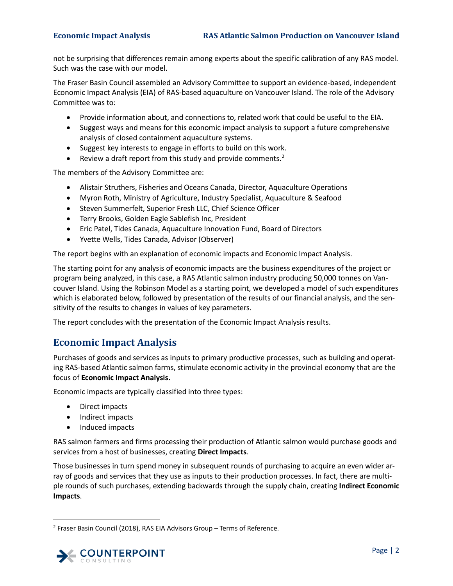not be surprising that differences remain among experts about the specific calibration of any RAS model. Such was the case with our model.

The Fraser Basin Council assembled an Advisory Committee to support an evidence-based, independent Economic Impact Analysis (EIA) of RAS-based aquaculture on Vancouver Island. The role of the Advisory Committee was to:

- Provide information about, and connections to, related work that could be useful to the EIA.
- Suggest ways and means for this economic impact analysis to support a future comprehensive analysis of closed containment aquaculture systems.
- Suggest key interests to engage in efforts to build on this work.
- Review a draft report from this study and provide comments.<sup>[2](#page-7-1)</sup>

The members of the Advisory Committee are:

- Alistair Struthers, Fisheries and Oceans Canada, Director, Aquaculture Operations
- Myron Roth, Ministry of Agriculture, Industry Specialist, Aquaculture & Seafood
- Steven Summerfelt, Superior Fresh LLC, Chief Science Officer
- Terry Brooks, Golden Eagle Sablefish Inc, President
- Eric Patel, Tides Canada, Aquaculture Innovation Fund, Board of Directors
- Yvette Wells, Tides Canada, Advisor (Observer)

The report begins with an explanation of economic impacts and Economic Impact Analysis.

The starting point for any analysis of economic impacts are the business expenditures of the project or program being analyzed, in this case, a RAS Atlantic salmon industry producing 50,000 tonnes on Vancouver Island. Using the Robinson Model as a starting point, we developed a model of such expenditures which is elaborated below, followed by presentation of the results of our financial analysis, and the sensitivity of the results to changes in values of key parameters.

The report concludes with the presentation of the Economic Impact Analysis results.

# <span id="page-7-0"></span>**Economic Impact Analysis**

Purchases of goods and services as inputs to primary productive processes, such as building and operating RAS-based Atlantic salmon farms, stimulate economic activity in the provincial economy that are the focus of **Economic Impact Analysis.**

Economic impacts are typically classified into three types:

- Direct impacts
- Indirect impacts
- Induced impacts

RAS salmon farmers and firms processing their production of Atlantic salmon would purchase goods and services from a host of businesses, creating **Direct Impacts**.

Those businesses in turn spend money in subsequent rounds of purchasing to acquire an even wider array of goods and services that they use as inputs to their production processes. In fact, there are multiple rounds of such purchases, extending backwards through the supply chain, creating **Indirect Economic Impacts**.

<span id="page-7-1"></span> <sup>2</sup> Fraser Basin Council (2018), RAS EIA Advisors Group – Terms of Reference.

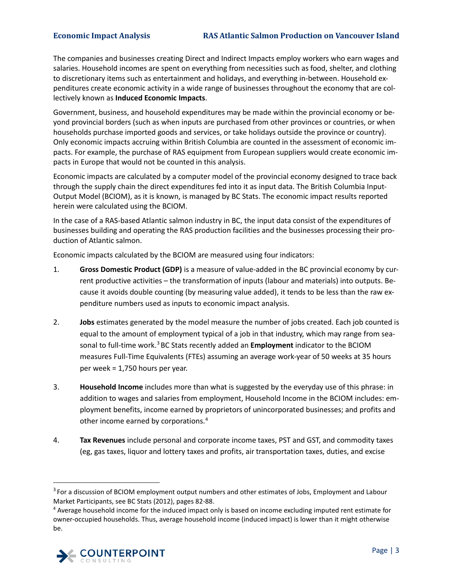The companies and businesses creating Direct and Indirect Impacts employ workers who earn wages and salaries. Household incomes are spent on everything from necessities such as food, shelter, and clothing to discretionary items such as entertainment and holidays, and everything in-between. Household expenditures create economic activity in a wide range of businesses throughout the economy that are collectively known as **Induced Economic Impacts**.

Government, business, and household expenditures may be made within the provincial economy or beyond provincial borders (such as when inputs are purchased from other provinces or countries, or when households purchase imported goods and services, or take holidays outside the province or country). Only economic impacts accruing within British Columbia are counted in the assessment of economic impacts. For example, the purchase of RAS equipment from European suppliers would create economic impacts in Europe that would not be counted in this analysis.

Economic impacts are calculated by a computer model of the provincial economy designed to trace back through the supply chain the direct expenditures fed into it as input data. The British Columbia Input-Output Model (BCIOM), as it is known, is managed by BC Stats. The economic impact results reported herein were calculated using the BCIOM.

In the case of a RAS-based Atlantic salmon industry in BC, the input data consist of the expenditures of businesses building and operating the RAS production facilities and the businesses processing their production of Atlantic salmon.

Economic impacts calculated by the BCIOM are measured using four indicators:

- 1. **Gross Domestic Product (GDP)** is a measure of value-added in the BC provincial economy by current productive activities – the transformation of inputs (labour and materials) into outputs. Because it avoids double counting (by measuring value added), it tends to be less than the raw expenditure numbers used as inputs to economic impact analysis.
- 2. **Jobs** estimates generated by the model measure the number of jobs created. Each job counted is equal to the amount of employment typical of a job in that industry, which may range from seasonal to full-time work.[3](#page-8-0) BC Stats recently added an **Employment** indicator to the BCIOM measures Full-Time Equivalents (FTEs) assuming an average work-year of 50 weeks at 35 hours per week = 1,750 hours per year.
- 3. **Household Income** includes more than what is suggested by the everyday use of this phrase: in addition to wages and salaries from employment, Household Income in the BCIOM includes: employment benefits, income earned by proprietors of unincorporated businesses; and profits and other income earned by corporations.<sup>[4](#page-8-1)</sup>
- 4. **Tax Revenues** include personal and corporate income taxes, PST and GST, and commodity taxes (eg, gas taxes, liquor and lottery taxes and profits, air transportation taxes, duties, and excise

<span id="page-8-1"></span><sup>4</sup> Average household income for the induced impact only is based on income excluding imputed rent estimate for owner-occupied households. Thus, average household income (induced impact) is lower than it might otherwise be.



<span id="page-8-0"></span><sup>&</sup>lt;sup>3</sup> For a discussion of BCIOM employment output numbers and other estimates of Jobs, Employment and Labour Market Participants, see BC Stats (2012), pages 82-88.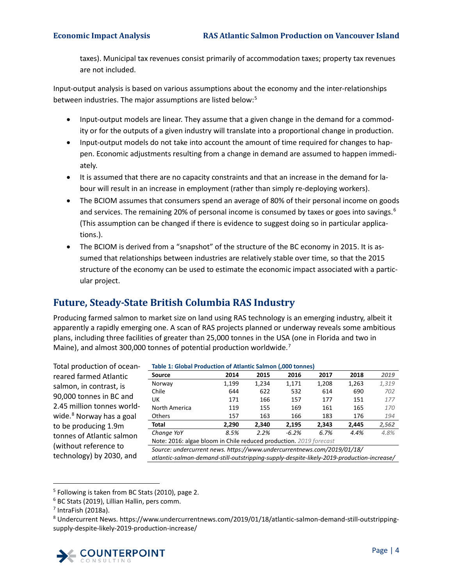taxes). Municipal tax revenues consist primarily of accommodation taxes; property tax revenues are not included.

Input-output analysis is based on various assumptions about the economy and the inter-relationships between industries. The major assumptions are listed below:<sup>[5](#page-9-2)</sup>

- Input-output models are linear. They assume that a given change in the demand for a commodity or for the outputs of a given industry will translate into a proportional change in production.
- Input-output models do not take into account the amount of time required for changes to happen. Economic adjustments resulting from a change in demand are assumed to happen immediately.
- It is assumed that there are no capacity constraints and that an increase in the demand for labour will result in an increase in employment (rather than simply re-deploying workers).
- The BCIOM assumes that consumers spend an average of 80% of their personal income on goods and services. The remaining 20% of personal income is consumed by taxes or goes into savings.<sup>[6](#page-9-3)</sup> (This assumption can be changed if there is evidence to suggest doing so in particular applications.).
- The BCIOM is derived from a "snapshot" of the structure of the BC economy in 2015. It is assumed that relationships between industries are relatively stable over time, so that the 2015 structure of the economy can be used to estimate the economic impact associated with a particular project.

# <span id="page-9-0"></span>**Future, Steady-State British Columbia RAS Industry**

Producing farmed salmon to market size on land using RAS technology is an emerging industry, albeit it apparently a rapidly emerging one. A scan of RAS projects planned or underway reveals some ambitious plans, including three facilities of greater than 25,000 tonnes in the USA (one in Florida and two in Maine), and almost 300,000 tonnes of potential production worldwide.<sup>[7](#page-9-4)</sup>

<span id="page-9-1"></span>

| Total production of ocean-           | Table 1: Global Production of Atlantic Salmon (,000 tonnes)                               |       |       |         |       |       |       |
|--------------------------------------|-------------------------------------------------------------------------------------------|-------|-------|---------|-------|-------|-------|
| reared farmed Atlantic               | <b>Source</b>                                                                             | 2014  | 2015  | 2016    | 2017  | 2018  | 2019  |
| salmon, in contrast, is              | Norway                                                                                    | 1,199 | 1,234 | 1,171   | 1,208 | 1,263 | 1,319 |
|                                      | Chile                                                                                     | 644   | 622   | 532     | 614   | 690   | 702   |
| 90,000 tonnes in BC and              | UK                                                                                        | 171   | 166   | 157     | 177   | 151   | 177   |
| 2.45 million tonnes world-           | North America                                                                             | 119   | 155   | 169     | 161   | 165   | 170   |
| wide. <sup>8</sup> Norway has a goal | <b>Others</b>                                                                             | 157   | 163   | 166     | 183   | 176   | 194   |
| to be producing 1.9m                 | Total                                                                                     | 2.290 | 2.340 | 2,195   | 2.343 | 2,445 | 2,562 |
| tonnes of Atlantic salmon            | Change YoY                                                                                | 8.5%  | 2.2%  | $-6.2%$ | 6.7%  | 4.4%  | 4.8%  |
|                                      | Note: 2016: algae bloom in Chile reduced production. 2019 forecast                        |       |       |         |       |       |       |
| (without reference to                | Source: undercurrent news. https://www.undercurrentnews.com/2019/01/18/                   |       |       |         |       |       |       |
| technology) by 2030, and             | atlantic-salmon-demand-still-outstripping-supply-despite-likely-2019-production-increase/ |       |       |         |       |       |       |
|                                      |                                                                                           |       |       |         |       |       |       |

<span id="page-9-2"></span>

<span id="page-9-5"></span><span id="page-9-4"></span><span id="page-9-3"></span><sup>8</sup> Undercurrent News. https://www.undercurrentnews.com/2019/01/18/atlantic-salmon-demand-still-outstrippingsupply-despite-likely-2019-production-increase/



 $5$  Following is taken from BC Stats (2010), page 2.  $6$  BC Stats (2019), Lillian Hallin, pers comm.

 $<sup>7</sup>$  IntraFish (2018a).</sup>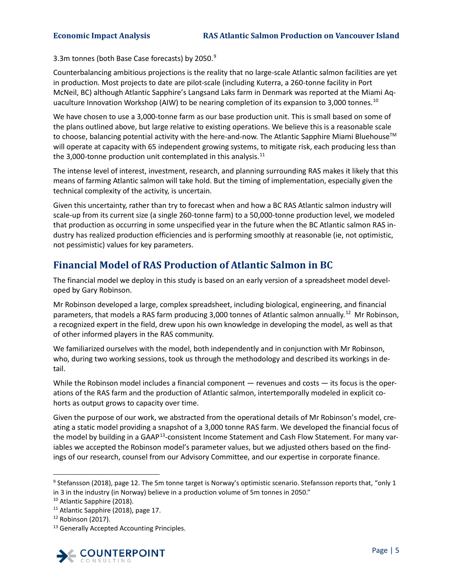3.3m tonnes (both Base Case forecasts) by 2050.<sup>[9](#page-10-1)</sup>

Counterbalancing ambitious projections is the reality that no large-scale Atlantic salmon facilities are yet in production. Most projects to date are pilot-scale (including Kuterra, a 260-tonne facility in Port McNeil, BC) although Atlantic Sapphire's Langsand Laks farm in Denmark was reported at the Miami Aq-uaculture Innovation Workshop (AIW) to be nearing completion of its expansion to 3,000 tonnes.<sup>[10](#page-10-2)</sup>

We have chosen to use a 3,000-tonne farm as our base production unit. This is small based on some of the plans outlined above, but large relative to existing operations. We believe this is a reasonable scale to choose, balancing potential activity with the here-and-now. The Atlantic Sapphire Miami Bluehouse™ will operate at capacity with 65 independent growing systems, to mitigate risk, each producing less than the 3,000-tonne production unit contemplated in this analysis. $11$ 

The intense level of interest, investment, research, and planning surrounding RAS makes it likely that this means of farming Atlantic salmon will take hold. But the timing of implementation, especially given the technical complexity of the activity, is uncertain.

Given this uncertainty, rather than try to forecast when and how a BC RAS Atlantic salmon industry will scale-up from its current size (a single 260-tonne farm) to a 50,000-tonne production level, we modeled that production as occurring in some unspecified year in the future when the BC Atlantic salmon RAS industry has realized production efficiencies and is performing smoothly at reasonable (ie, not optimistic, not pessimistic) values for key parameters.

# <span id="page-10-0"></span>**Financial Model of RAS Production of Atlantic Salmon in BC**

The financial model we deploy in this study is based on an early version of a spreadsheet model developed by Gary Robinson.

Mr Robinson developed a large, complex spreadsheet, including biological, engineering, and financial parameters, that models a RAS farm producing 3,000 tonnes of Atlantic salmon annually.<sup>[12](#page-10-4)</sup> Mr Robinson, a recognized expert in the field, drew upon his own knowledge in developing the model, as well as that of other informed players in the RAS community.

We familiarized ourselves with the model, both independently and in conjunction with Mr Robinson, who, during two working sessions, took us through the methodology and described its workings in detail.

While the Robinson model includes a financial component — revenues and costs — its focus is the operations of the RAS farm and the production of Atlantic salmon, intertemporally modeled in explicit cohorts as output grows to capacity over time.

Given the purpose of our work, we abstracted from the operational details of Mr Robinson's model, creating a static model providing a snapshot of a 3,000 tonne RAS farm. We developed the financial focus of the model by building in a GAAP<sup>[13](#page-10-5)</sup>-consistent Income Statement and Cash Flow Statement. For many variables we accepted the Robinson model's parameter values, but we adjusted others based on the findings of our research, counsel from our Advisory Committee, and our expertise in corporate finance.

<span id="page-10-5"></span><span id="page-10-4"></span><span id="page-10-3"></span><sup>&</sup>lt;sup>13</sup> Generally Accepted Accounting Principles.



<span id="page-10-1"></span><sup>&</sup>lt;sup>9</sup> Stefansson (2018), page 12. The 5m tonne target is Norway's optimistic scenario. Stefansson reports that, "only 1 in 3 in the industry (in Norway) believe in a production volume of 5m tonnes in 2050."

<span id="page-10-2"></span><sup>&</sup>lt;sup>10</sup> Atlantic Sapphire (2018).<br><sup>11</sup> Atlantic Sapphire (2018), page 17.

 $12$  Robinson (2017).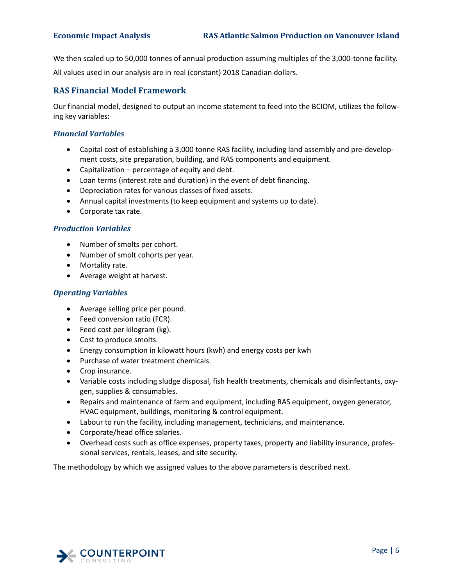We then scaled up to 50,000 tonnes of annual production assuming multiples of the 3,000-tonne facility.

All values used in our analysis are in real (constant) 2018 Canadian dollars.

## <span id="page-11-0"></span>**RAS Financial Model Framework**

Our financial model, designed to output an income statement to feed into the BCIOM, utilizes the following key variables:

## *Financial Variables*

- Capital cost of establishing a 3,000 tonne RAS facility, including land assembly and pre-development costs, site preparation, building, and RAS components and equipment.
- Capitalization percentage of equity and debt.
- Loan terms (interest rate and duration) in the event of debt financing.
- Depreciation rates for various classes of fixed assets.
- Annual capital investments (to keep equipment and systems up to date).
- Corporate tax rate.

## *Production Variables*

- Number of smolts per cohort.
- Number of smolt cohorts per year.
- Mortality rate.
- Average weight at harvest.

## *Operating Variables*

- Average selling price per pound.
- Feed conversion ratio (FCR).
- Feed cost per kilogram (kg).
- Cost to produce smolts.
- Energy consumption in kilowatt hours (kwh) and energy costs per kwh
- Purchase of water treatment chemicals.
- Crop insurance.
- Variable costs including sludge disposal, fish health treatments, chemicals and disinfectants, oxygen, supplies & consumables.
- Repairs and maintenance of farm and equipment, including RAS equipment, oxygen generator, HVAC equipment, buildings, monitoring & control equipment.
- Labour to run the facility, including management, technicians, and maintenance.
- Corporate/head office salaries.
- Overhead costs such as office expenses, property taxes, property and liability insurance, professional services, rentals, leases, and site security.

The methodology by which we assigned values to the above parameters is described next.

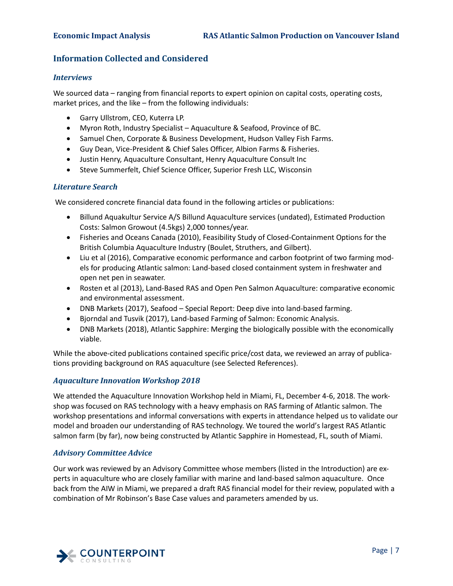## <span id="page-12-0"></span>**Information Collected and Considered**

## *Interviews*

We sourced data – ranging from financial reports to expert opinion on capital costs, operating costs, market prices, and the like – from the following individuals:

- Garry Ullstrom, CEO, Kuterra LP.
- Myron Roth, Industry Specialist Aquaculture & Seafood, Province of BC.
- Samuel Chen, Corporate & Business Development, Hudson Valley Fish Farms.
- Guy Dean, Vice-President & Chief Sales Officer, Albion Farms & Fisheries.
- Justin Henry, Aquaculture Consultant, Henry Aquaculture Consult Inc
- Steve Summerfelt, Chief Science Officer, Superior Fresh LLC, Wisconsin

## *Literature Search*

We considered concrete financial data found in the following articles or publications:

- Billund Aquakultur Service A/S Billund Aquaculture services (undated), Estimated Production Costs: Salmon Growout (4.5kgs) 2,000 tonnes/year.
- Fisheries and Oceans Canada (2010), Feasibility Study of Closed-Containment Options for the British Columbia Aquaculture Industry (Boulet, Struthers, and Gilbert).
- Liu et al (2016), Comparative economic performance and carbon footprint of two farming models for producing Atlantic salmon: Land-based closed containment system in freshwater and open net pen in seawater.
- Rosten et al (2013), Land-Based RAS and Open Pen Salmon Aquaculture: comparative economic and environmental assessment.
- DNB Markets (2017), Seafood Special Report: Deep dive into land-based farming.
- Bjorndal and Tusvik (2017), Land-based Farming of Salmon: Economic Analysis.
- DNB Markets (2018), Atlantic Sapphire: Merging the biologically possible with the economically viable.

While the above-cited publications contained specific price/cost data, we reviewed an array of publications providing background on RAS aquaculture (see Selected References).

## *Aquaculture Innovation Workshop 2018*

We attended the Aquaculture Innovation Workshop held in Miami, FL, December 4-6, 2018. The workshop was focused on RAS technology with a heavy emphasis on RAS farming of Atlantic salmon. The workshop presentations and informal conversations with experts in attendance helped us to validate our model and broaden our understanding of RAS technology. We toured the world's largest RAS Atlantic salmon farm (by far), now being constructed by Atlantic Sapphire in Homestead, FL, south of Miami.

## *Advisory Committee Advice*

Our work was reviewed by an Advisory Committee whose members (listed in the Introduction) are experts in aquaculture who are closely familiar with marine and land-based salmon aquaculture. Once back from the AIW in Miami, we prepared a draft RAS financial model for their review, populated with a combination of Mr Robinson's Base Case values and parameters amended by us.

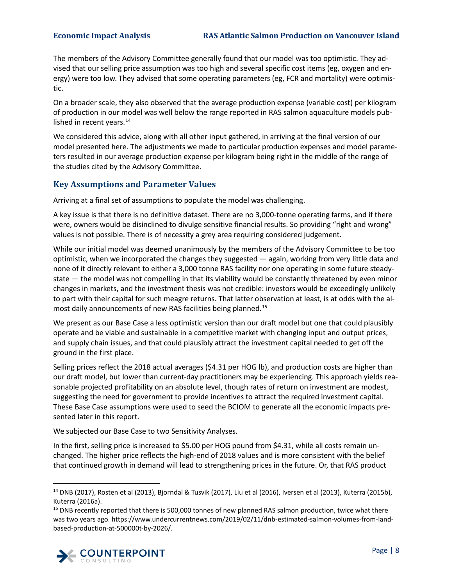The members of the Advisory Committee generally found that our model was too optimistic. They advised that our selling price assumption was too high and several specific cost items (eg, oxygen and energy) were too low. They advised that some operating parameters (eg, FCR and mortality) were optimistic.

On a broader scale, they also observed that the average production expense (variable cost) per kilogram of production in our model was well below the range reported in RAS salmon aquaculture models published in recent years. $14$ 

We considered this advice, along with all other input gathered, in arriving at the final version of our model presented here. The adjustments we made to particular production expenses and model parameters resulted in our average production expense per kilogram being right in the middle of the range of the studies cited by the Advisory Committee.

## <span id="page-13-0"></span>**Key Assumptions and Parameter Values**

Arriving at a final set of assumptions to populate the model was challenging.

A key issue is that there is no definitive dataset. There are no 3,000-tonne operating farms, and if there were, owners would be disinclined to divulge sensitive financial results. So providing "right and wrong" values is not possible. There is of necessity a grey area requiring considered judgement.

While our initial model was deemed unanimously by the members of the Advisory Committee to be too optimistic, when we incorporated the changes they suggested — again, working from very little data and none of it directly relevant to either a 3,000 tonne RAS facility nor one operating in some future steadystate — the model was not compelling in that its viability would be constantly threatened by even minor changes in markets, and the investment thesis was not credible: investors would be exceedingly unlikely to part with their capital for such meagre returns. That latter observation at least, is at odds with the almost daily announcements of new RAS facilities being planned.[15](#page-13-2)

We present as our Base Case a less optimistic version than our draft model but one that could plausibly operate and be viable and sustainable in a competitive market with changing input and output prices, and supply chain issues, and that could plausibly attract the investment capital needed to get off the ground in the first place.

Selling prices reflect the 2018 actual averages (\$4.31 per HOG lb), and production costs are higher than our draft model, but lower than current-day practitioners may be experiencing. This approach yields reasonable projected profitability on an absolute level, though rates of return on investment are modest, suggesting the need for government to provide incentives to attract the required investment capital. These Base Case assumptions were used to seed the BCIOM to generate all the economic impacts presented later in this report.

We subjected our Base Case to two Sensitivity Analyses.

In the first, selling price is increased to \$5.00 per HOG pound from \$4.31, while all costs remain unchanged. The higher price reflects the high-end of 2018 values and is more consistent with the belief that continued growth in demand will lead to strengthening prices in the future. Or, that RAS product

<span id="page-13-2"></span><sup>&</sup>lt;sup>15</sup> DNB recently reported that there is 500,000 tonnes of new planned RAS salmon production, twice what there was two years ago. https://www.undercurrentnews.com/2019/02/11/dnb-estimated-salmon-volumes-from-landbased-production-at-500000t-by-2026/.



<span id="page-13-1"></span> $14$  DNB (2017), Rosten et al (2013), Bjorndal & Tusvik (2017), Liu et al (2016), Iversen et al (2013), Kuterra (2015b), Kuterra (2016a).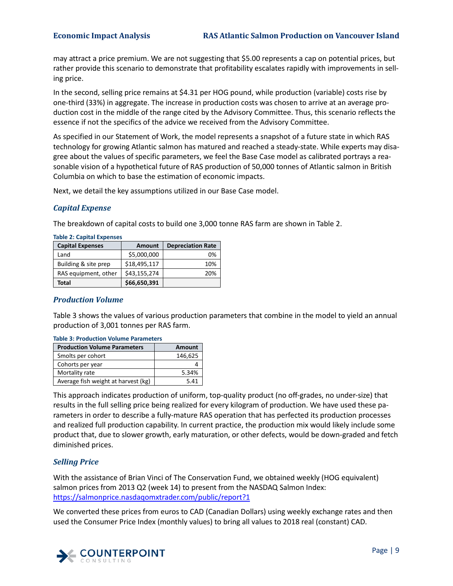may attract a price premium. We are not suggesting that \$5.00 represents a cap on potential prices, but rather provide this scenario to demonstrate that profitability escalates rapidly with improvements in selling price.

In the second, selling price remains at \$4.31 per HOG pound, while production (variable) costs rise by one-third (33%) in aggregate. The increase in production costs was chosen to arrive at an average production cost in the middle of the range cited by the Advisory Committee. Thus, this scenario reflects the essence if not the specifics of the advice we received from the Advisory Committee.

As specified in our Statement of Work, the model represents a snapshot of a future state in which RAS technology for growing Atlantic salmon has matured and reached a steady-state. While experts may disagree about the values of specific parameters, we feel the Base Case model as calibrated portrays a reasonable vision of a hypothetical future of RAS production of 50,000 tonnes of Atlantic salmon in British Columbia on which to base the estimation of economic impacts.

Next, we detail the key assumptions utilized in our Base Case model.

## *Capital Expense*

The breakdown of capital costs to build one 3,000 tonne RAS farm are shown in [Table 2.](#page-14-0)

| <b>Capital Expenses</b> | <b>Amount</b> | <b>Depreciation Rate</b> |  |  |
|-------------------------|---------------|--------------------------|--|--|
| Land                    | \$5,000,000   | በ%                       |  |  |
| Building & site prep    | \$18,495,117  | 10%                      |  |  |
| RAS equipment, other    | \$43,155,274  | 20%                      |  |  |
| Total                   | \$66,650,391  |                          |  |  |

<span id="page-14-0"></span>**Table 2: Capital Expenses**

## *Production Volume*

[Table 3](#page-14-1) shows the values of various production parameters that combine in the model to yield an annual production of 3,001 tonnes per RAS farm.

| 1996 - 1996 - 1996 - 1996 - 1996 - 1997 - 1998 - 1998 - 1998 - 1999 - 1999 - 199 |               |  |  |
|----------------------------------------------------------------------------------|---------------|--|--|
| <b>Production Volume Parameters</b>                                              | <b>Amount</b> |  |  |
| Smolts per cohort                                                                | 146,625       |  |  |
| Cohorts per year                                                                 |               |  |  |
| Mortality rate                                                                   | 5.34%         |  |  |
| Average fish weight at harvest (kg)                                              | 5.41          |  |  |

<span id="page-14-1"></span>**Table 3: Production Volume Parameters**

This approach indicates production of uniform, top-quality product (no off-grades, no under-size) that results in the full selling price being realized for every kilogram of production. We have used these parameters in order to describe a fully-mature RAS operation that has perfected its production processes and realized full production capability. In current practice, the production mix would likely include some product that, due to slower growth, early maturation, or other defects, would be down-graded and fetch diminished prices.

## *Selling Price*

With the assistance of Brian Vinci of The Conservation Fund, we obtained weekly (HOG equivalent) salmon prices from 2013 Q2 (week 14) to present from the NASDAQ Salmon Index: <https://salmonprice.nasdaqomxtrader.com/public/report?1>

We converted these prices from euros to CAD (Canadian Dollars) using weekly exchange rates and then used the Consumer Price Index (monthly values) to bring all values to 2018 real (constant) CAD.

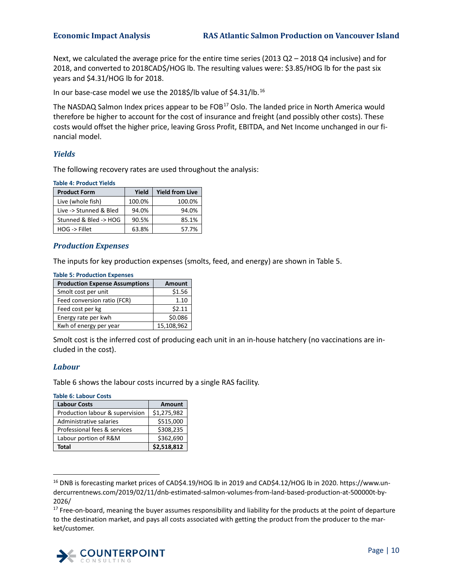Next, we calculated the average price for the entire time series (2013 Q2 – 2018 Q4 inclusive) and for 2018, and converted to 2018CAD\$/HOG lb. The resulting values were: \$3.85/HOG lb for the past six years and \$4.31/HOG lb for 2018.

In our base-case model we use the 2018\$/lb value of \$4.31/lb. [16](#page-15-3)

The NASDAQ Salmon Index prices appear to be FOB<sup>[17](#page-15-4)</sup> Oslo. The landed price in North America would therefore be higher to account for the cost of insurance and freight (and possibly other costs). These costs would offset the higher price, leaving Gross Profit, EBITDA, and Net Income unchanged in our financial model.

## *Yields*

The following recovery rates are used throughout the analysis:

<span id="page-15-0"></span>**Table 4: Product Yields**

| <b>Product Form</b>      | Yield  | <b>Yield from Live</b> |
|--------------------------|--------|------------------------|
| Live (whole fish)        | 100.0% | 100.0%                 |
| Live -> Stunned & Bled   | 94.0%  | 94.0%                  |
| Stunned & Bled -> HOG    | 90.5%  | 85.1%                  |
| $HOG \rightarrow$ Fillet | 63.8%  | 57.7%                  |

## *Production Expenses*

<span id="page-15-1"></span>**Table 5: Production Expenses**

The inputs for key production expenses (smolts, feed, and energy) are shown in [Table 5.](#page-15-1)

| lable 5: Production Expenses          |               |  |  |  |
|---------------------------------------|---------------|--|--|--|
| <b>Production Expense Assumptions</b> | <b>Amount</b> |  |  |  |
| Smolt cost per unit                   | \$1.56        |  |  |  |
| Feed conversion ratio (FCR)           | 1.10          |  |  |  |
| Feed cost per kg                      | \$2.11        |  |  |  |
| Energy rate per kwh                   | \$0.086       |  |  |  |
| Kwh of energy per year                | 15,108,962    |  |  |  |

Smolt cost is the inferred cost of producing each unit in an in-house hatchery (no vaccinations are included in the cost).

## *Labour*

[Table 6](#page-15-2) shows the labour costs incurred by a single RAS facility.

<span id="page-15-2"></span>**Table 6: Labour Costs**

| <b>Labour Costs</b>             | <b>Amount</b> |
|---------------------------------|---------------|
| Production labour & supervision | \$1,275,982   |
| Administrative salaries         | \$515,000     |
| Professional fees & services    | \$308,235     |
| Labour portion of R&M           | \$362,690     |
| Total                           | \$2,518,812   |

<span id="page-15-3"></span> <sup>16</sup> DNB is forecasting market prices of CAD\$4.19/HOG lb in 2019 and CAD\$4.12/HOG lb in 2020. https://www.undercurrentnews.com/2019/02/11/dnb-estimated-salmon-volumes-from-land-based-production-at-500000t-by-2026/

<span id="page-15-4"></span><sup>&</sup>lt;sup>17</sup> Free-on-board, meaning the buyer assumes responsibility and liability for the products at the point of departure to the destination market, and pays all costs associated with getting the product from the producer to the market/customer.

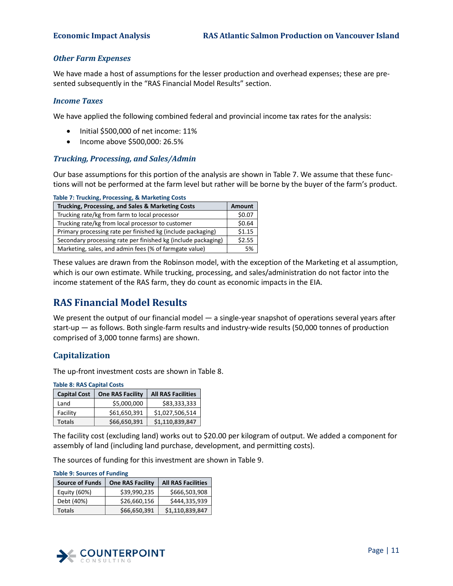## *Other Farm Expenses*

We have made a host of assumptions for the lesser production and overhead expenses; these are presented subsequently in the "RAS Financial Model Results" section.

## *Income Taxes*

We have applied the following combined federal and provincial income tax rates for the analysis:

- Initial \$500,000 of net income: 11%
- Income above \$500,000: 26.5%

## *Trucking, Processing, and Sales/Admin*

Our base assumptions for this portion of the analysis are shown in [Table 7.](#page-16-2) We assume that these functions will not be performed at the farm level but rather will be borne by the buyer of the farm's product.

<span id="page-16-2"></span>

| Trucking, Processing, and Sales & Marketing Costs             | <b>Amount</b> |
|---------------------------------------------------------------|---------------|
| Trucking rate/kg from farm to local processor                 | \$0.07        |
| Trucking rate/kg from local processor to customer             | \$0.64        |
| Primary processing rate per finished kg (include packaging)   | \$1.15        |
| Secondary processing rate per finished kg (include packaging) | \$2.55        |
| Marketing, sales, and admin fees (% of farmgate value)        | 5%            |

These values are drawn from the Robinson model, with the exception of the Marketing et al assumption, which is our own estimate. While trucking, processing, and sales/administration do not factor into the income statement of the RAS farm, they do count as economic impacts in the EIA.

# <span id="page-16-0"></span>**RAS Financial Model Results**

We present the output of our financial model — a single-year snapshot of operations several years after start-up — as follows. Both single-farm results and industry-wide results (50,000 tonnes of production comprised of 3,000 tonne farms) are shown.

## <span id="page-16-1"></span>**Capitalization**

The up-front investment costs are shown i[n Table 8.](#page-16-3)

<span id="page-16-3"></span>**Table 8: RAS Capital Costs**

| <b>Capital Cost</b> | <b>One RAS Facility</b> | <b>All RAS Facilities</b> |
|---------------------|-------------------------|---------------------------|
| Land                | \$5,000,000             | \$83,333,333              |
| Facility            | \$61,650,391            | \$1,027,506,514           |
| <b>Totals</b>       | \$66,650,391            | \$1,110,839,847           |

The facility cost (excluding land) works out to \$20.00 per kilogram of output. We added a component for assembly of land (including land purchase, development, and permitting costs).

The sources of funding for this investment are shown in [Table 9.](#page-16-4)

| <b>Source of Funds</b> | <b>One RAS Facility</b> | <b>All RAS Facilities</b> |
|------------------------|-------------------------|---------------------------|
| Equity (60%)           | \$39.990.235            | \$666,503,908             |
| Debt (40%)             | \$26,660,156            | \$444,335,939             |
| <b>Totals</b>          | \$66,650,391            | \$1,110,839,847           |

<span id="page-16-4"></span>

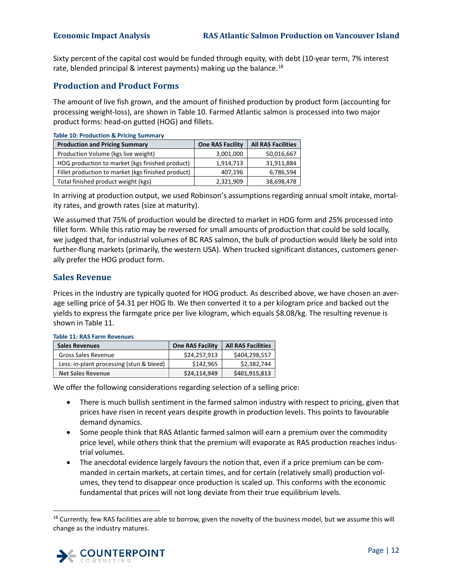Sixty percent of the capital cost would be funded through equity, with debt (10-year term, 7% interest rate, blended principal & interest payments) making up the balance.<sup>[18](#page-17-4)</sup>

## <span id="page-17-0"></span>**Production and Product Forms**

The amount of live fish grown, and the amount of finished production by product form (accounting for processing weight-loss), are shown i[n Table 10.](#page-17-2) Farmed Atlantic salmon is processed into two major product forms: head-on gutted (HOG) and fillets.

<span id="page-17-2"></span>

| <b>Table 10: Production &amp; Pricing Summary</b>  |                         |                           |  |
|----------------------------------------------------|-------------------------|---------------------------|--|
| <b>Production and Pricing Summary</b>              | <b>One RAS Facility</b> | <b>All RAS Facilities</b> |  |
| Production Volume (kgs live weight)                | 3,001,000               | 50,016,667                |  |
| HOG production to market (kgs finished product)    | 1,914,713               | 31,911,884                |  |
| Fillet production to market (kgs finished product) | 407,196                 | 6,786,594                 |  |
| Total finished product weight (kgs)                | 2,321,909               | 38,698,478                |  |

In arriving at production output, we used Robinson's assumptions regarding annual smolt intake, mortality rates, and growth rates (size at maturity).

We assumed that 75% of production would be directed to market in HOG form and 25% processed into fillet form. While this ratio may be reversed for small amounts of production that could be sold locally, we judged that, for industrial volumes of BC RAS salmon, the bulk of production would likely be sold into further-flung markets (primarily, the western USA). When trucked significant distances, customers generally prefer the HOG product form.

## <span id="page-17-1"></span>**Sales Revenue**

Prices in the industry are typically quoted for HOG product. As described above, we have chosen an average selling price of \$4.31 per HOG lb. We then converted it to a per kilogram price and backed out the yields to express the farmgate price per live kilogram, which equals \$8.08/kg. The resulting revenue is shown in [Table 11.](#page-17-3)

| <b>Sales Revenues</b>                    | <b>One RAS Facility</b> | <b>All RAS Facilities</b> |
|------------------------------------------|-------------------------|---------------------------|
| Gross Sales Revenue                      | \$24,257,913            | \$404,298,557             |
| Less: in-plant processing (stun & bleed) | \$142.965               | \$2.382.744               |
| <b>Net Sales Revenue</b>                 | \$24,114,949            | \$401,915,813             |

### <span id="page-17-3"></span>**Table 11: RAS Farm Revenues**

We offer the following considerations regarding selection of a selling price:

- There is much bullish sentiment in the farmed salmon industry with respect to pricing, given that prices have risen in recent years despite growth in production levels. This points to favourable demand dynamics.
- Some people think that RAS Atlantic farmed salmon will earn a premium over the commodity price level, while others think that the premium will evaporate as RAS production reaches industrial volumes.
- The anecdotal evidence largely favours the notion that, even if a price premium can be commanded in certain markets, at certain times, and for certain (relatively small) production volumes, they tend to disappear once production is scaled up. This conforms with the economic fundamental that prices will not long deviate from their true equilibrium levels.

<span id="page-17-4"></span> $18$  Currently, few RAS facilities are able to borrow, given the novelty of the business model, but we assume this will change as the industry matures.

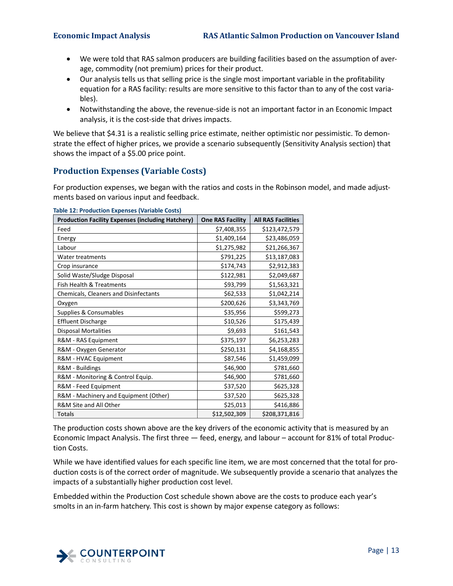- We were told that RAS salmon producers are building facilities based on the assumption of average, commodity (not premium) prices for their product.
- Our analysis tells us that selling price is the single most important variable in the profitability equation for a RAS facility: results are more sensitive to this factor than to any of the cost variables).
- Notwithstanding the above, the revenue-side is not an important factor in an Economic Impact analysis, it is the cost-side that drives impacts.

We believe that \$4.31 is a realistic selling price estimate, neither optimistic nor pessimistic. To demonstrate the effect of higher prices, we provide a scenario subsequently (Sensitivity Analysis section) that shows the impact of a \$5.00 price point.

## <span id="page-18-0"></span>**Production Expenses (Variable Costs)**

For production expenses, we began with the ratios and costs in the Robinson model, and made adjustments based on various input and feedback.

| <b>Production Facility Expenses (including Hatchery)</b> | <b>One RAS Facility</b> | <b>All RAS Facilities</b> |
|----------------------------------------------------------|-------------------------|---------------------------|
| Feed                                                     | \$7,408,355             | \$123,472,579             |
| Energy                                                   | \$1,409,164             | \$23,486,059              |
| Labour                                                   | \$1,275,982             | \$21,266,367              |
| Water treatments                                         | \$791,225               | \$13,187,083              |
| Crop insurance                                           | \$174,743               | \$2,912,383               |
| Solid Waste/Sludge Disposal                              | \$122,981               | \$2,049,687               |
| Fish Health & Treatments                                 | \$93,799                | \$1,563,321               |
| Chemicals, Cleaners and Disinfectants                    | \$62,533                | \$1,042,214               |
| Oxygen                                                   | \$200,626               | \$3,343,769               |
| Supplies & Consumables                                   | \$35,956                | \$599,273                 |
| <b>Effluent Discharge</b>                                | \$10,526                | \$175,439                 |
| <b>Disposal Mortalities</b>                              | \$9,693                 | \$161,543                 |
| R&M - RAS Equipment                                      | \$375,197               | \$6,253,283               |
| R&M - Oxygen Generator                                   | \$250,131               | \$4,168,855               |
| R&M - HVAC Equipment                                     | \$87,546                | \$1,459,099               |
| R&M - Buildings                                          | \$46,900                | \$781,660                 |
| R&M - Monitoring & Control Equip.                        | \$46,900                | \$781,660                 |
| R&M - Feed Equipment                                     | \$37,520                | \$625,328                 |
| R&M - Machinery and Equipment (Other)                    | \$37,520                | \$625,328                 |
| R&M Site and All Other                                   | \$25,013                | \$416,886                 |
| <b>Totals</b>                                            | \$12,502,309            | \$208,371,816             |

<span id="page-18-1"></span>**Table 12: Production Expenses (Variable Costs)**

The production costs shown above are the key drivers of the economic activity that is measured by an Economic Impact Analysis. The first three — feed, energy, and labour – account for 81% of total Production Costs.

While we have identified values for each specific line item, we are most concerned that the total for production costs is of the correct order of magnitude. We subsequently provide a scenario that analyzes the impacts of a substantially higher production cost level.

Embedded within the Production Cost schedule shown above are the costs to produce each year's smolts in an in-farm hatchery. This cost is shown by major expense category as follows:

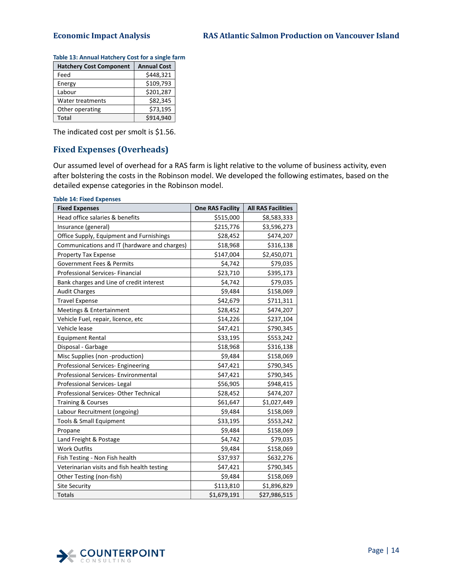| <b>Hatchery Cost Component</b> | <b>Annual Cost</b> |
|--------------------------------|--------------------|
| Feed                           | \$448,321          |
| Energy                         | \$109,793          |
| Labour                         | \$201,287          |
| Water treatments               | \$82,345           |
| Other operating                | \$73,195           |
| <b>Total</b>                   | \$914,940          |

<span id="page-19-1"></span>

| Table 13: Annual Hatchery Cost for a single farm |  |  |
|--------------------------------------------------|--|--|
|                                                  |  |  |

The indicated cost per smolt is \$1.56.

## <span id="page-19-0"></span>**Fixed Expenses (Overheads)**

Our assumed level of overhead for a RAS farm is light relative to the volume of business activity, even after bolstering the costs in the Robinson model. We developed the following estimates, based on the detailed expense categories in the Robinson model.

<span id="page-19-2"></span>

| <b>Fixed Expenses</b>                        | <b>One RAS Facility</b> | <b>All RAS Facilities</b> |
|----------------------------------------------|-------------------------|---------------------------|
| Head office salaries & benefits              | \$515,000               | \$8,583,333               |
| Insurance (general)                          | \$215,776               | \$3,596,273               |
| Office Supply, Equipment and Furnishings     | \$28,452                | \$474,207                 |
| Communications and IT (hardware and charges) | \$18,968                | \$316,138                 |
| Property Tax Expense                         | \$147,004               | \$2,450,071               |
| Government Fees & Permits                    | \$4,742                 | \$79,035                  |
| Professional Services- Financial             | \$23,710                | \$395,173                 |
| Bank charges and Line of credit interest     | \$4,742                 | \$79,035                  |
| <b>Audit Charges</b>                         | \$9,484                 | \$158,069                 |
| <b>Travel Expense</b>                        | \$42,679                | \$711,311                 |
| Meetings & Entertainment                     | \$28,452                | \$474,207                 |
| Vehicle Fuel, repair, licence, etc           | \$14,226                | \$237,104                 |
| Vehicle lease                                | \$47,421                | \$790,345                 |
| <b>Equipment Rental</b>                      | \$33,195                | \$553,242                 |
| Disposal - Garbage                           | \$18,968                | \$316,138                 |
| Misc Supplies (non -production)              | \$9,484                 | \$158,069                 |
| Professional Services- Engineering           | \$47,421                | \$790,345                 |
| Professional Services- Environmental         | \$47,421                | \$790,345                 |
| Professional Services-Legal                  | \$56,905                | \$948,415                 |
| Professional Services- Other Technical       | \$28,452                | \$474,207                 |
| <b>Training &amp; Courses</b>                | \$61,647                | \$1,027,449               |
| Labour Recruitment (ongoing)                 | \$9,484                 | \$158,069                 |
| Tools & Small Equipment                      | \$33,195                | \$553,242                 |
| Propane                                      | \$9,484                 | \$158,069                 |
| Land Freight & Postage                       | \$4,742                 | \$79,035                  |
| <b>Work Outfits</b>                          | \$9,484                 | \$158,069                 |
| Fish Testing - Non Fish health               | \$37,937                | \$632,276                 |
| Veterinarian visits and fish health testing  | \$47,421                | \$790,345                 |
| Other Testing (non-fish)                     | \$9,484                 | \$158,069                 |
| <b>Site Security</b>                         | \$113,810               | \$1,896,829               |
| <b>Totals</b>                                | \$1,679,191             | \$27,986,515              |

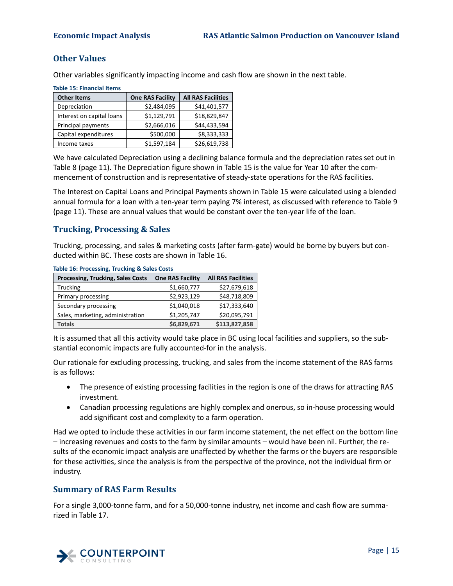## <span id="page-20-0"></span>**Other Values**

Other variables significantly impacting income and cash flow are shown in the next table.

| <u>iaule 15. Filialiulai Iteliis</u> |                         |                           |
|--------------------------------------|-------------------------|---------------------------|
| <b>Other Items</b>                   | <b>One RAS Facility</b> | <b>All RAS Facilities</b> |
| Depreciation                         | \$2,484,095             | \$41,401,577              |
| Interest on capital loans            | \$1,129,791             | \$18,829,847              |
| Principal payments                   | \$2,666,016             | \$44,433,594              |
| Capital expenditures                 | \$500,000               | \$8,333,333               |
| Income taxes                         | \$1,597,184             | \$26,619,738              |

<span id="page-20-3"></span>**Table 15: Financial Items**

We have calculated Depreciation using a declining balance formula and the depreciation rates set out in [Table 8](#page-16-3) (pag[e 11\)](#page-16-3). The Depreciation figure shown in [Table 15](#page-20-3) is the value for Year 10 after the commencement of construction and is representative of steady-state operations for the RAS facilities.

The Interest on Capital Loans and Principal Payments shown i[n Table 15](#page-20-3) were calculated using a blended annual formula for a loan with a ten-year term paying 7% interest, as discussed with reference t[o Table 9](#page-16-4) (page [11\)](#page-16-4). These are annual values that would be constant over the ten-year life of the loan.

## <span id="page-20-1"></span>**Trucking, Processing & Sales**

Trucking, processing, and sales & marketing costs (after farm-gate) would be borne by buyers but conducted within BC. These costs are shown in [Table 16.](#page-20-4)

| <b>Processing, Trucking, Sales Costs</b> | <b>One RAS Facility</b> | <b>All RAS Facilities</b> |
|------------------------------------------|-------------------------|---------------------------|
| <b>Trucking</b>                          | \$1,660,777             | \$27,679,618              |
| Primary processing                       | \$2,923,129             | \$48,718,809              |
| Secondary processing                     | \$1,040,018             | \$17,333,640              |
| Sales, marketing, administration         | \$1,205,747             | \$20,095,791              |
| <b>Totals</b>                            | \$6,829,671             | \$113,827,858             |

<span id="page-20-4"></span>**Table 16: Processing, Trucking & Sales Costs**

It is assumed that all this activity would take place in BC using local facilities and suppliers, so the substantial economic impacts are fully accounted-for in the analysis.

Our rationale for excluding processing, trucking, and sales from the income statement of the RAS farms is as follows:

- The presence of existing processing facilities in the region is one of the draws for attracting RAS investment.
- Canadian processing regulations are highly complex and onerous, so in-house processing would add significant cost and complexity to a farm operation.

Had we opted to include these activities in our farm income statement, the net effect on the bottom line – increasing revenues and costs to the farm by similar amounts – would have been nil. Further, the results of the economic impact analysis are unaffected by whether the farms or the buyers are responsible for these activities, since the analysis is from the perspective of the province, not the individual firm or industry.

## <span id="page-20-2"></span>**Summary of RAS Farm Results**

For a single 3,000-tonne farm, and for a 50,000-tonne industry, net income and cash flow are summarized in [Table 17.](#page-21-2)

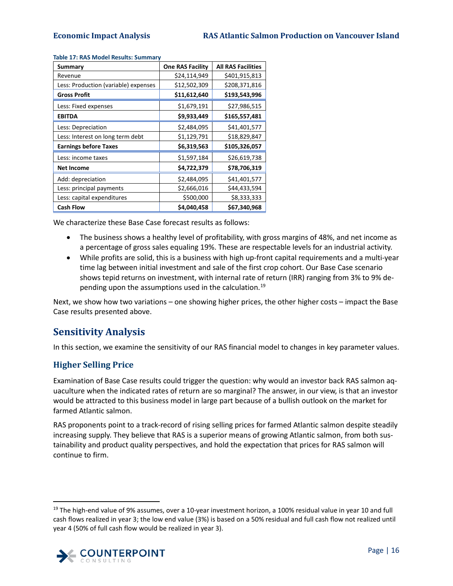| Summary                              | <b>One RAS Facility</b> | <b>All RAS Facilities</b> |
|--------------------------------------|-------------------------|---------------------------|
| Revenue                              | \$24,114,949            | \$401,915,813             |
| Less: Production (variable) expenses | \$12,502,309            | \$208,371,816             |
| <b>Gross Profit</b>                  | \$11,612,640            | \$193,543,996             |
| Less: Fixed expenses                 | \$1,679,191             | \$27,986,515              |
| <b>EBITDA</b>                        | \$9,933,449             | \$165,557,481             |
| Less: Depreciation                   | \$2,484,095             | \$41,401,577              |
| Less: Interest on long term debt     | \$1,129,791             | \$18,829,847              |
| <b>Earnings before Taxes</b>         | \$6,319,563             | \$105,326,057             |
| Less: income taxes                   | \$1,597,184             | \$26,619,738              |
| <b>Net Income</b>                    | \$4,722,379             | \$78,706,319              |
| Add: depreciation                    | \$2,484,095             | \$41,401,577              |
| Less: principal payments             | \$2,666,016             | \$44,433,594              |
| Less: capital expenditures           | \$500,000               | \$8,333,333               |
| <b>Cash Flow</b>                     | \$4,040,458             | \$67,340,968              |

### <span id="page-21-2"></span>**Table 17: RAS Model Results: Summary**

We characterize these Base Case forecast results as follows:

- The business shows a healthy level of profitability, with gross margins of 48%, and net income as a percentage of gross sales equaling 19%. These are respectable levels for an industrial activity.
- While profits are solid, this is a business with high up-front capital requirements and a multi-year time lag between initial investment and sale of the first crop cohort. Our Base Case scenario shows tepid returns on investment, with internal rate of return (IRR) ranging from 3% to 9% de-pending upon the assumptions used in the calculation.<sup>[19](#page-21-3)</sup>

Next, we show how two variations – one showing higher prices, the other higher costs – impact the Base Case results presented above.

## <span id="page-21-0"></span>**Sensitivity Analysis**

In this section, we examine the sensitivity of our RAS financial model to changes in key parameter values.

## <span id="page-21-1"></span>**Higher Selling Price**

Examination of Base Case results could trigger the question: why would an investor back RAS salmon aquaculture when the indicated rates of return are so marginal? The answer, in our view, is that an investor would be attracted to this business model in large part because of a bullish outlook on the market for farmed Atlantic salmon.

RAS proponents point to a track-record of rising selling prices for farmed Atlantic salmon despite steadily increasing supply. They believe that RAS is a superior means of growing Atlantic salmon, from both sustainability and product quality perspectives, and hold the expectation that prices for RAS salmon will continue to firm.

<span id="page-21-3"></span><sup>&</sup>lt;sup>19</sup> The high-end value of 9% assumes, over a 10-year investment horizon, a 100% residual value in year 10 and full cash flows realized in year 3; the low end value (3%) is based on a 50% residual and full cash flow not realized until year 4 (50% of full cash flow would be realized in year 3).

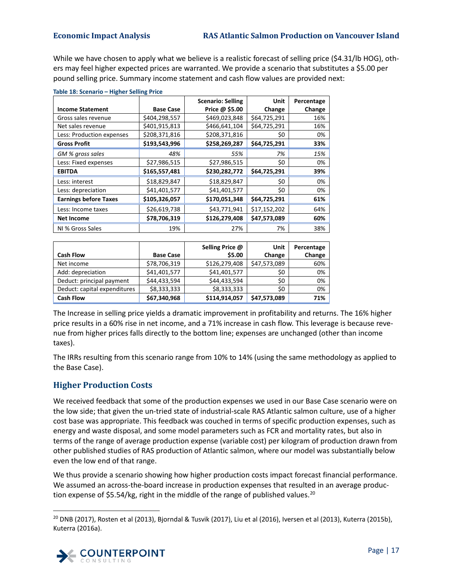While we have chosen to apply what we believe is a realistic forecast of selling price (\$4.31/lb HOG), others may feel higher expected prices are warranted. We provide a scenario that substitutes a \$5.00 per pound selling price. Summary income statement and cash flow values are provided next:

|                              |                  | <b>Scenario: Selling</b> | Unit         | Percentage |
|------------------------------|------------------|--------------------------|--------------|------------|
| <b>Income Statement</b>      | <b>Base Case</b> | Price @ \$5.00           | Change       | Change     |
| Gross sales revenue          | \$404,298,557    | \$469,023,848            | \$64,725,291 | 16%        |
| Net sales revenue            | \$401,915,813    | \$466,641,104            | \$64,725,291 | 16%        |
| Less: Production expenses    | \$208,371,816    | \$208,371,816            | \$0          | 0%         |
| <b>Gross Profit</b>          | \$193,543,996    | \$258,269,287            | \$64,725,291 | 33%        |
| GM % gross sales             | 48%              | 55%                      | 7%           | 15%        |
| Less: Fixed expenses         | \$27,986,515     | \$27,986,515             | \$0          | 0%         |
| <b>EBITDA</b>                | \$165,557,481    | \$230,282,772            | \$64,725,291 | 39%        |
| Less: interest               | \$18,829,847     | \$18,829,847             | \$0          | 0%         |
| Less: depreciation           | \$41,401,577     | \$41,401,577             | \$0          | 0%         |
| <b>Earnings before Taxes</b> | \$105,326,057    | \$170,051,348            | \$64,725,291 | 61%        |
| Less: Income taxes           | \$26,619,738     | \$43,771,941             | \$17,152,202 | 64%        |
| <b>Net Income</b>            | \$78,706,319     | \$126,279,408            | \$47,573,089 | 60%        |
| NI % Gross Sales             | 19%              | 27%                      | 7%           | 38%        |

<span id="page-22-1"></span>**Table 18: Scenario – Higher Selling Price**

|                              |                  | Selling Price @ | Unit         | Percentage |
|------------------------------|------------------|-----------------|--------------|------------|
| <b>Cash Flow</b>             | <b>Base Case</b> | \$5.00          | Change       | Change     |
| Net income                   | \$78,706,319     | \$126,279,408   | \$47,573,089 | 60%        |
| Add: depreciation            | \$41,401,577     | \$41,401,577    | \$0          | 0%         |
| Deduct: principal payment    | \$44,433,594     | \$44,433,594    | \$0          | 0%         |
| Deduct: capital expenditures | \$8,333,333      | \$8,333,333     | \$0          | 0%         |
| <b>Cash Flow</b>             | \$67,340,968     | \$114,914,057   | \$47,573,089 | 71%        |

The Increase in selling price yields a dramatic improvement in profitability and returns. The 16% higher price results in a 60% rise in net income, and a 71% increase in cash flow. This leverage is because revenue from higher prices falls directly to the bottom line; expenses are unchanged (other than income taxes).

The IRRs resulting from this scenario range from 10% to 14% (using the same methodology as applied to the Base Case).

## <span id="page-22-0"></span>**Higher Production Costs**

We received feedback that some of the production expenses we used in our Base Case scenario were on the low side; that given the un-tried state of industrial-scale RAS Atlantic salmon culture, use of a higher cost base was appropriate. This feedback was couched in terms of specific production expenses, such as energy and waste disposal, and some model parameters such as FCR and mortality rates, but also in terms of the range of average production expense (variable cost) per kilogram of production drawn from other published studies of RAS production of Atlantic salmon, where our model was substantially below even the low end of that range.

We thus provide a scenario showing how higher production costs impact forecast financial performance. We assumed an across-the-board increase in production expenses that resulted in an average produc-tion expense of \$5.54/kg, right in the middle of the range of published values.<sup>[20](#page-22-2)</sup>

<span id="page-22-2"></span> $20$  DNB (2017), Rosten et al (2013), Bjorndal & Tusvik (2017), Liu et al (2016), Iversen et al (2013), Kuterra (2015b), Kuterra (2016a).

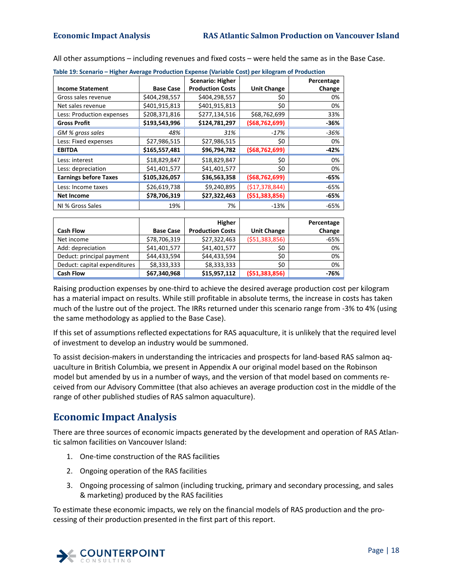<span id="page-23-1"></span>

| Table 19: Scenario – Higher Average Production Expense (Variable Cost) per kilogram of Production |                  |                         |                    |            |  |  |  |
|---------------------------------------------------------------------------------------------------|------------------|-------------------------|--------------------|------------|--|--|--|
|                                                                                                   |                  | <b>Scenario: Higher</b> |                    | Percentage |  |  |  |
| <b>Income Statement</b>                                                                           | <b>Base Case</b> | <b>Production Costs</b> | <b>Unit Change</b> | Change     |  |  |  |
| Gross sales revenue                                                                               | \$404,298,557    | \$404,298,557           | \$0                | 0%         |  |  |  |
| Net sales revenue                                                                                 | \$401,915,813    | \$401,915,813           | \$0                | 0%         |  |  |  |
| Less: Production expenses                                                                         | \$208,371,816    | \$277,134,516           | \$68,762,699       | 33%        |  |  |  |
| <b>Gross Profit</b>                                                                               | \$193,543,996    | \$124,781,297           | (568, 762, 699)    | -36%       |  |  |  |
| GM % gross sales                                                                                  | 48%              | 31%                     | $-17%$             | -36%       |  |  |  |
| Less: Fixed expenses                                                                              | \$27,986,515     | \$27,986,515            | \$0                | 0%         |  |  |  |
| <b>EBITDA</b>                                                                                     | \$165,557,481    | \$96,794,782            | (568, 762, 699)    | $-42%$     |  |  |  |
| Less: interest                                                                                    | \$18,829,847     | \$18,829,847            | \$0                | 0%         |  |  |  |
| Less: depreciation                                                                                | \$41,401,577     | \$41,401,577            | \$0                | 0%         |  |  |  |
| <b>Earnings before Taxes</b>                                                                      | \$105,326,057    | \$36,563,358            | (568, 762, 699)    | -65%       |  |  |  |
| Less: Income taxes                                                                                | \$26,619,738     | \$9,240,895             | (\$17,378,844)     | -65%       |  |  |  |
| <b>Net Income</b>                                                                                 | \$78,706,319     | \$27,322,463            | ( \$51,383,856)    | -65%       |  |  |  |
| NI % Gross Sales                                                                                  | 19%              | 7%                      | $-13%$             | $-65%$     |  |  |  |

All other assumptions – including revenues and fixed costs – were held the same as in the Base Case.

|                              |                  | Higher                  |                    | Percentage |
|------------------------------|------------------|-------------------------|--------------------|------------|
| <b>Cash Flow</b>             | <b>Base Case</b> | <b>Production Costs</b> | <b>Unit Change</b> | Change     |
| Net income                   | \$78,706,319     | \$27,322,463            | ( \$51,383,856)    | $-65%$     |
| Add: depreciation            | \$41,401,577     | \$41,401,577            | \$0                | 0%         |
| Deduct: principal payment    | \$44,433,594     | \$44,433,594            | \$0                | 0%         |
| Deduct: capital expenditures | \$8,333,333      | \$8,333,333             | \$0                | 0%         |
| <b>Cash Flow</b>             | \$67,340,968     | \$15,957,112            | (551, 383, 856)    | -76%       |

Raising production expenses by one-third to achieve the desired average production cost per kilogram has a material impact on results. While still profitable in absolute terms, the increase in costs has taken much of the lustre out of the project. The IRRs returned under this scenario range from -3% to 4% (using the same methodology as applied to the Base Case).

If this set of assumptions reflected expectations for RAS aquaculture, it is unlikely that the required level of investment to develop an industry would be summoned.

To assist decision-makers in understanding the intricacies and prospects for land-based RAS salmon aquaculture in British Columbia, we present in Appendix A our original model based on the Robinson model but amended by us in a number of ways, and the version of that model based on comments received from our Advisory Committee (that also achieves an average production cost in the middle of the range of other published studies of RAS salmon aquaculture).

# <span id="page-23-0"></span>**Economic Impact Analysis**

There are three sources of economic impacts generated by the development and operation of RAS Atlantic salmon facilities on Vancouver Island:

- 1. One-time construction of the RAS facilities
- 2. Ongoing operation of the RAS facilities
- 3. Ongoing processing of salmon (including trucking, primary and secondary processing, and sales & marketing) produced by the RAS facilities

To estimate these economic impacts, we rely on the financial models of RAS production and the processing of their production presented in the first part of this report.

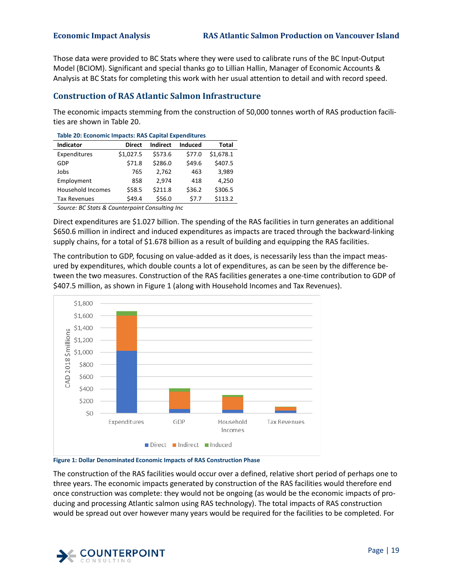Those data were provided to BC Stats where they were used to calibrate runs of the BC Input-Output Model (BCIOM). Significant and special thanks go to Lillian Hallin, Manager of Economic Accounts & Analysis at BC Stats for completing this work with her usual attention to detail and with record speed.

## <span id="page-24-0"></span>**Construction of RAS Atlantic Salmon Infrastructure**

The economic impacts stemming from the construction of 50,000 tonnes worth of RAS production facilities are shown in [Table 20.](#page-24-1)

| Table 20. ECONOMIC IMPACTS. NAS Capital Experiences |               |                 |         |              |  |  |
|-----------------------------------------------------|---------------|-----------------|---------|--------------|--|--|
| <b>Indicator</b>                                    | <b>Direct</b> | <b>Indirect</b> | Induced | <b>Total</b> |  |  |
| Expenditures                                        | \$1,027.5     | \$573.6         | \$77.0  | \$1,678.1    |  |  |
| GDP                                                 | \$71.8        | \$286.0         | \$49.6  | \$407.5      |  |  |
| Jobs                                                | 765           | 2.762           | 463     | 3,989        |  |  |
| Employment                                          | 858           | 2.974           | 418     | 4,250        |  |  |
| <b>Household Incomes</b>                            | \$58.5        | \$211.8         | \$36.2  | \$306.5      |  |  |
| <b>Tax Revenues</b>                                 | \$49.4        | \$56.0          | \$7.7   | \$113.2      |  |  |

<span id="page-24-1"></span>**Table 20: Economic Impacts: RAS Capital Expenditures**

*Source: BC Stats & Counterpoint Consulting Inc* 

Direct expenditures are \$1.027 billion. The spending of the RAS facilities in turn generates an additional \$650.6 million in indirect and induced expenditures as impacts are traced through the backward-linking supply chains, for a total of \$1.678 billion as a result of building and equipping the RAS facilities.

The contribution to GDP, focusing on value-added as it does, is necessarily less than the impact measured by expenditures, which double counts a lot of expenditures, as can be seen by the difference between the two measures. Construction of the RAS facilities generates a one-time contribution to GDP of \$407.5 million, as shown i[n Figure 1](#page-24-2) (along with Household Incomes and Tax Revenues).



### <span id="page-24-2"></span>**Figure 1: Dollar Denominated Economic Impacts of RAS Construction Phase**

The construction of the RAS facilities would occur over a defined, relative short period of perhaps one to three years. The economic impacts generated by construction of the RAS facilities would therefore end once construction was complete: they would not be ongoing (as would be the economic impacts of producing and processing Atlantic salmon using RAS technology). The total impacts of RAS construction would be spread out over however many years would be required for the facilities to be completed. For

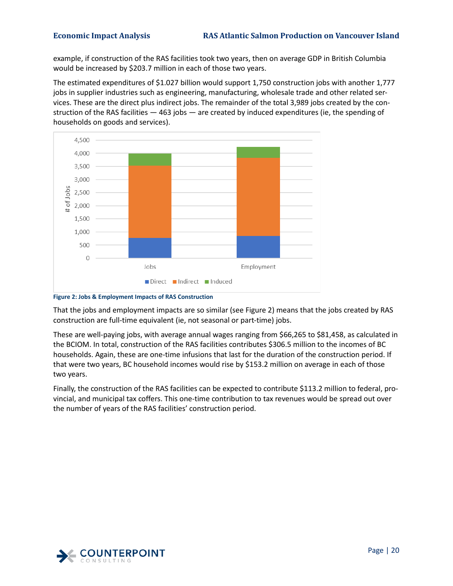example, if construction of the RAS facilities took two years, then on average GDP in British Columbia would be increased by \$203.7 million in each of those two years.

The estimated expenditures of \$1.027 billion would support 1,750 construction jobs with another 1,777 jobs in supplier industries such as engineering, manufacturing, wholesale trade and other related services. These are the direct plus indirect jobs. The remainder of the total 3,989 jobs created by the construction of the RAS facilities — 463 jobs — are created by induced expenditures (ie, the spending of households on goods and services).



<span id="page-25-0"></span>**Figure 2: Jobs & Employment Impacts of RAS Construction**

That the jobs and employment impacts are so similar (see [Figure 2\)](#page-25-0) means that the jobs created by RAS construction are full-time equivalent (ie, not seasonal or part-time) jobs.

These are well-paying jobs, with average annual wages ranging from \$66,265 to \$81,458, as calculated in the BCIOM. In total, construction of the RAS facilities contributes \$306.5 million to the incomes of BC households. Again, these are one-time infusions that last for the duration of the construction period. If that were two years, BC household incomes would rise by \$153.2 million on average in each of those two years.

Finally, the construction of the RAS facilities can be expected to contribute \$113.2 million to federal, provincial, and municipal tax coffers. This one-time contribution to tax revenues would be spread out over the number of years of the RAS facilities' construction period.

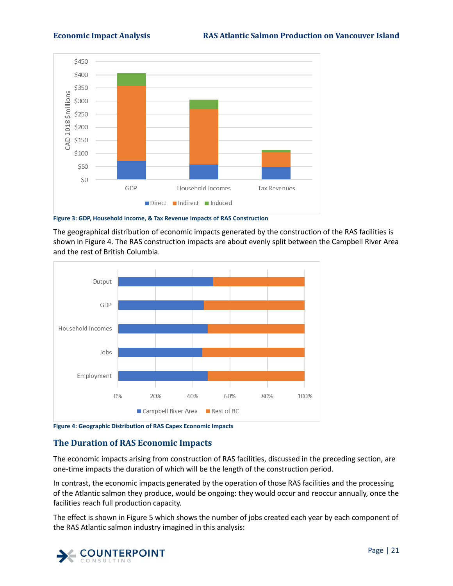

<span id="page-26-1"></span>**Figure 3: GDP, Household Income, & Tax Revenue Impacts of RAS Construction**

The geographical distribution of economic impacts generated by the construction of the RAS facilities is shown in [Figure 4.](#page-26-2) The RAS construction impacts are about evenly split between the Campbell River Area and the rest of British Columbia.



<span id="page-26-2"></span><span id="page-26-0"></span>**Figure 4: Geographic Distribution of RAS Capex Economic Impacts**

## **The Duration of RAS Economic Impacts**

The economic impacts arising from construction of RAS facilities, discussed in the preceding section, are one-time impacts the duration of which will be the length of the construction period.

In contrast, the economic impacts generated by the operation of those RAS facilities and the processing of the Atlantic salmon they produce, would be ongoing: they would occur and reoccur annually, once the facilities reach full production capacity.

The effect is shown in [Figure 5](#page-27-1) which shows the number of jobs created each year by each component of the RAS Atlantic salmon industry imagined in this analysis:

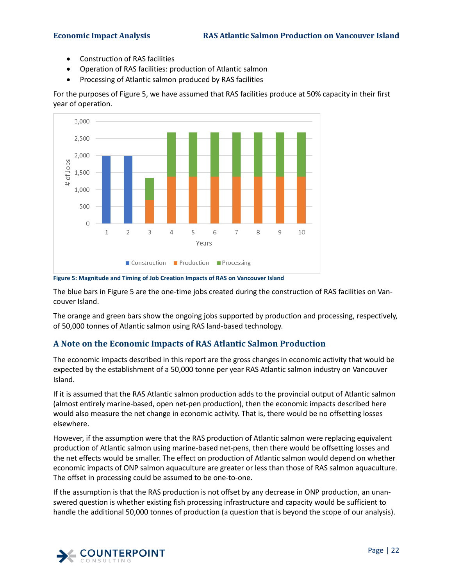- Construction of RAS facilities
- Operation of RAS facilities: production of Atlantic salmon
- Processing of Atlantic salmon produced by RAS facilities

For the purposes o[f Figure 5,](#page-27-1) we have assumed that RAS facilities produce at 50% capacity in their first year of operation.



<span id="page-27-1"></span>**Figure 5: Magnitude and Timing of Job Creation Impacts of RAS on Vancouver Island**

The blue bars i[n Figure 5](#page-27-1) are the one-time jobs created during the construction of RAS facilities on Vancouver Island.

The orange and green bars show the ongoing jobs supported by production and processing, respectively, of 50,000 tonnes of Atlantic salmon using RAS land-based technology.

## <span id="page-27-0"></span>**A Note on the Economic Impacts of RAS Atlantic Salmon Production**

The economic impacts described in this report are the gross changes in economic activity that would be expected by the establishment of a 50,000 tonne per year RAS Atlantic salmon industry on Vancouver Island.

If it is assumed that the RAS Atlantic salmon production adds to the provincial output of Atlantic salmon (almost entirely marine-based, open net-pen production), then the economic impacts described here would also measure the net change in economic activity. That is, there would be no offsetting losses elsewhere.

However, if the assumption were that the RAS production of Atlantic salmon were replacing equivalent production of Atlantic salmon using marine-based net-pens, then there would be offsetting losses and the net effects would be smaller. The effect on production of Atlantic salmon would depend on whether economic impacts of ONP salmon aquaculture are greater or less than those of RAS salmon aquaculture. The offset in processing could be assumed to be one-to-one.

If the assumption is that the RAS production is not offset by any decrease in ONP production, an unanswered question is whether existing fish processing infrastructure and capacity would be sufficient to handle the additional 50,000 tonnes of production (a question that is beyond the scope of our analysis).

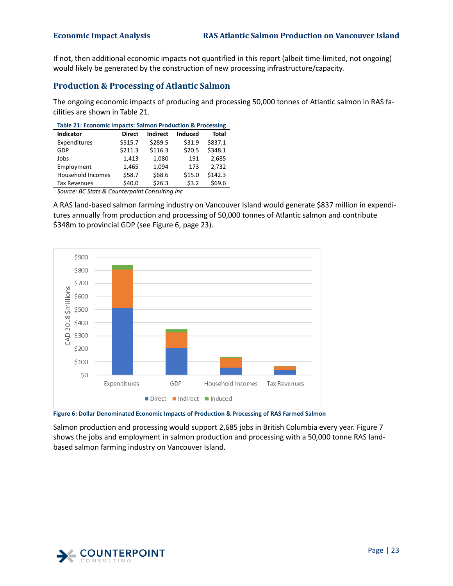If not, then additional economic impacts not quantified in this report (albeit time-limited, not ongoing) would likely be generated by the construction of new processing infrastructure/capacity.

## <span id="page-28-0"></span>**Production & Processing of Atlantic Salmon**

The ongoing economic impacts of producing and processing 50,000 tonnes of Atlantic salmon in RAS facilities are shown in [Table 21.](#page-28-1)

<span id="page-28-1"></span>

| Table 21: Economic Impacts: Salmon Production & Processing |               |          |                |              |  |
|------------------------------------------------------------|---------------|----------|----------------|--------------|--|
| <b>Indicator</b>                                           | <b>Direct</b> | Indirect | <b>Induced</b> | <b>Total</b> |  |
| Expenditures                                               | \$515.7       | \$289.5  | \$31.9         | \$837.1      |  |
| GDP                                                        | \$211.3       | \$116.3  | \$20.5         | \$348.1      |  |
| Jobs                                                       | 1.413         | 1,080    | 191            | 2.685        |  |
| Employment                                                 | 1,465         | 1.094    | 173            | 2.732        |  |
| <b>Household Incomes</b>                                   | \$58.7        | \$68.6   | \$15.0         | \$142.3      |  |
| <b>Tax Revenues</b>                                        | \$40.0        | \$26.3   | \$3.2          | \$69.6       |  |
| $C = 1$ and $C = 0$ $C = 0$ $C = 0$ and $C = 1$ $C = 1$    |               |          |                |              |  |

*Source: BC Stats & Counterpoint Consulting Inc* 

A RAS land-based salmon farming industry on Vancouver Island would generate \$837 million in expenditures annually from production and processing of 50,000 tonnes of Atlantic salmon and contribute \$348m to provincial GDP (see [Figure 6,](#page-28-2) page [23\)](#page-28-2).



<span id="page-28-2"></span>**Figure 6: Dollar Denominated Economic Impacts of Production & Processing of RAS Farmed Salmon**

Salmon production and processing would support 2,685 jobs in British Columbia every year. [Figure 7](#page-29-0) shows the jobs and employment in salmon production and processing with a 50,000 tonne RAS landbased salmon farming industry on Vancouver Island.

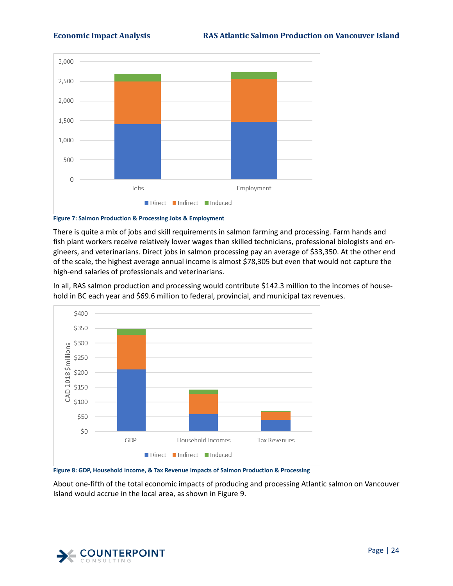

<span id="page-29-0"></span>**Figure 7: Salmon Production & Processing Jobs & Employment**

There is quite a mix of jobs and skill requirements in salmon farming and processing. Farm hands and fish plant workers receive relatively lower wages than skilled technicians, professional biologists and engineers, and veterinarians. Direct jobs in salmon processing pay an average of \$33,350. At the other end of the scale, the highest average annual income is almost \$78,305 but even that would not capture the high-end salaries of professionals and veterinarians.

In all, RAS salmon production and processing would contribute \$142.3 million to the incomes of household in BC each year and \$69.6 million to federal, provincial, and municipal tax revenues.



<span id="page-29-1"></span>**Figure 8: GDP, Household Income, & Tax Revenue Impacts of Salmon Production & Processing**

About one-fifth of the total economic impacts of producing and processing Atlantic salmon on Vancouver Island would accrue in the local area, as shown in [Figure 9.](#page-30-1)

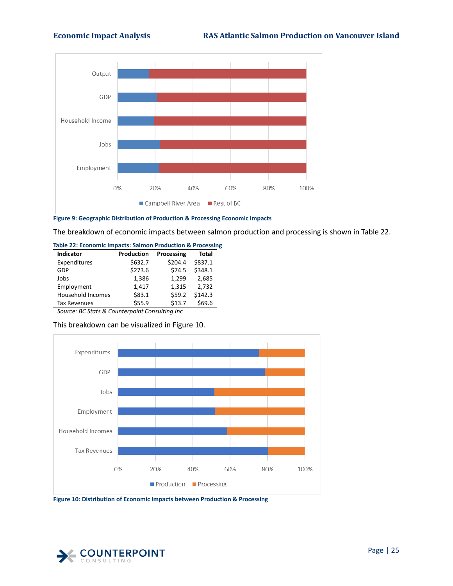

<span id="page-30-1"></span>**Figure 9: Geographic Distribution of Production & Processing Economic Impacts**

The breakdown of economic impacts between salmon production and processing is shown i[n Table 22.](#page-30-0)

<span id="page-30-0"></span>

| \$632.7<br>\$273.6 | \$204.4<br>\$74.5 | \$837.1<br>\$348.1 |
|--------------------|-------------------|--------------------|
|                    |                   |                    |
|                    |                   |                    |
| 1,386              | 1,299             | 2,685              |
| 1,417              | 1,315             | 2,732              |
| \$83.1             | \$59.2            | \$142.3            |
| \$55.9             | \$13.7            | \$69.6             |
|                    |                   |                    |

*Source: BC Stats & Counterpoint Consulting Inc* 

| This breakdown can be visualized in Figure 10. |  |  |  |  |  |  |  |  |  |  |
|------------------------------------------------|--|--|--|--|--|--|--|--|--|--|
|------------------------------------------------|--|--|--|--|--|--|--|--|--|--|



<span id="page-30-2"></span>**Figure 10: Distribution of Economic Impacts between Production & Processing**

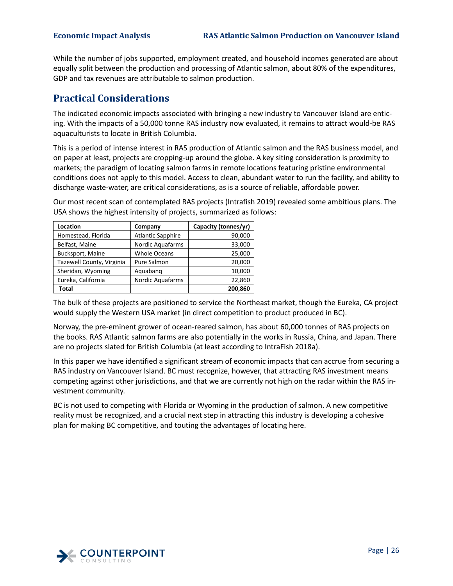While the number of jobs supported, employment created, and household incomes generated are about equally split between the production and processing of Atlantic salmon, about 80% of the expenditures, GDP and tax revenues are attributable to salmon production.

# <span id="page-31-0"></span>**Practical Considerations**

The indicated economic impacts associated with bringing a new industry to Vancouver Island are enticing. With the impacts of a 50,000 tonne RAS industry now evaluated, it remains to attract would-be RAS aquaculturists to locate in British Columbia.

This is a period of intense interest in RAS production of Atlantic salmon and the RAS business model, and on paper at least, projects are cropping-up around the globe. A key siting consideration is proximity to markets; the paradigm of locating salmon farms in remote locations featuring pristine environmental conditions does not apply to this model. Access to clean, abundant water to run the facility, and ability to discharge waste-water, are critical considerations, as is a source of reliable, affordable power.

Our most recent scan of contemplated RAS projects (Intrafish 2019) revealed some ambitious plans. The USA shows the highest intensity of projects, summarized as follows:

| Location                  | Company                  | Capacity (tonnes/yr) |
|---------------------------|--------------------------|----------------------|
| Homestead, Florida        | <b>Atlantic Sapphire</b> | 90,000               |
| Belfast, Maine            | Nordic Aquafarms         | 33,000               |
| Bucksport, Maine          | <b>Whole Oceans</b>      | 25,000               |
| Tazewell County, Virginia | Pure Salmon              | 20,000               |
| Sheridan, Wyoming         | Aquabang                 | 10,000               |
| Eureka, California        | <b>Nordic Aquafarms</b>  | 22,860               |
| Total                     |                          | 200,860              |

The bulk of these projects are positioned to service the Northeast market, though the Eureka, CA project would supply the Western USA market (in direct competition to product produced in BC).

Norway, the pre-eminent grower of ocean-reared salmon, has about 60,000 tonnes of RAS projects on the books. RAS Atlantic salmon farms are also potentially in the works in Russia, China, and Japan. There are no projects slated for British Columbia (at least according to IntraFish 2018a).

In this paper we have identified a significant stream of economic impacts that can accrue from securing a RAS industry on Vancouver Island. BC must recognize, however, that attracting RAS investment means competing against other jurisdictions, and that we are currently not high on the radar within the RAS investment community.

BC is not used to competing with Florida or Wyoming in the production of salmon. A new competitive reality must be recognized, and a crucial next step in attracting this industry is developing a cohesive plan for making BC competitive, and touting the advantages of locating here.

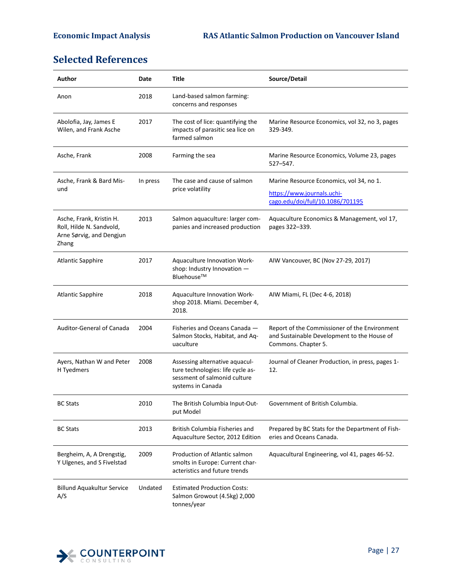# <span id="page-32-0"></span>**Selected References**

| Author                                                                                    | Date     | Title                                                                                                                    | Source/Detail                                                                                                       |
|-------------------------------------------------------------------------------------------|----------|--------------------------------------------------------------------------------------------------------------------------|---------------------------------------------------------------------------------------------------------------------|
| Anon                                                                                      | 2018     | Land-based salmon farming:<br>concerns and responses                                                                     |                                                                                                                     |
| Abolofia, Jay, James E<br>Wilen, and Frank Asche                                          | 2017     | The cost of lice: quantifying the<br>impacts of parasitic sea lice on<br>farmed salmon                                   | Marine Resource Economics, vol 32, no 3, pages<br>329-349.                                                          |
| Asche, Frank                                                                              | 2008     | Farming the sea                                                                                                          | Marine Resource Economics, Volume 23, pages<br>$527 - 547.$                                                         |
| Asche, Frank & Bard Mis-<br>und                                                           | In press | The case and cause of salmon<br>price volatility                                                                         | Marine Resource Economics, vol 34, no 1.<br>https://www.journals.uchi-<br>cago.edu/doi/full/10.1086/701195          |
| Asche, Frank, Kristin H.<br>Roll, Hilde N. Sandvold,<br>Arne Sørvig, and Dengjun<br>Zhang | 2013     | Salmon aquaculture: larger com-<br>panies and increased production                                                       | Aquaculture Economics & Management, vol 17,<br>pages 322-339.                                                       |
| <b>Atlantic Sapphire</b>                                                                  | 2017     | Aquaculture Innovation Work-<br>shop: Industry Innovation -<br>Bluehouse™                                                | AIW Vancouver, BC (Nov 27-29, 2017)                                                                                 |
| <b>Atlantic Sapphire</b>                                                                  | 2018     | Aquaculture Innovation Work-<br>shop 2018. Miami. December 4,<br>2018.                                                   | AIW Miami, FL (Dec 4-6, 2018)                                                                                       |
| Auditor-General of Canada                                                                 | 2004     | Fisheries and Oceans Canada -<br>Salmon Stocks, Habitat, and Aq-<br>uaculture                                            | Report of the Commissioner of the Environment<br>and Sustainable Development to the House of<br>Commons. Chapter 5. |
| Ayers, Nathan W and Peter<br>H Tyedmers                                                   | 2008     | Assessing alternative aquacul-<br>ture technologies: life cycle as-<br>sessment of salmonid culture<br>systems in Canada | Journal of Cleaner Production, in press, pages 1-<br>12.                                                            |
| <b>BC Stats</b>                                                                           | 2010     | The British Columbia Input-Out-<br>put Model                                                                             | Government of British Columbia.                                                                                     |
| <b>BC Stats</b>                                                                           | 2013     | British Columbia Fisheries and<br>Aquaculture Sector, 2012 Edition                                                       | Prepared by BC Stats for the Department of Fish-<br>eries and Oceans Canada.                                        |
| Bergheim, A, A Drengstig,<br>Y Ulgenes, and S Fivelstad                                   | 2009     | Production of Atlantic salmon<br>smolts in Europe: Current char-<br>acteristics and future trends                        | Aquacultural Engineering, vol 41, pages 46-52.                                                                      |
| <b>Billund Aquakultur Service</b><br>A/S                                                  | Undated  | <b>Estimated Production Costs:</b><br>Salmon Growout (4.5kg) 2,000<br>tonnes/year                                        |                                                                                                                     |

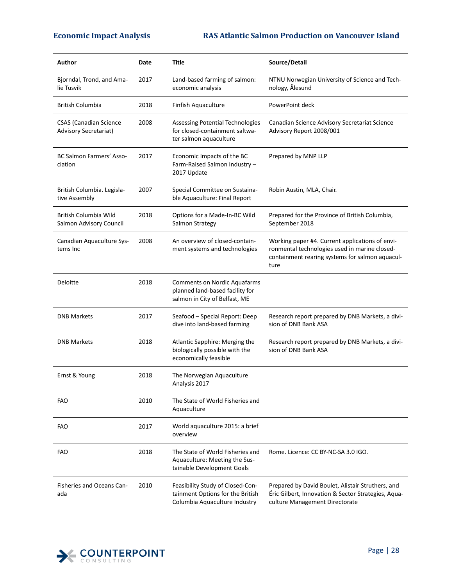| Author                                                        | Date | Title                                                                                                   | Source/Detail                                                                                                                                               |
|---------------------------------------------------------------|------|---------------------------------------------------------------------------------------------------------|-------------------------------------------------------------------------------------------------------------------------------------------------------------|
| Bjorndal, Trond, and Ama-<br>lie Tusvik                       | 2017 | Land-based farming of salmon:<br>economic analysis                                                      | NTNU Norwegian University of Science and Tech-<br>nology, Ålesund                                                                                           |
| <b>British Columbia</b>                                       | 2018 | Finfish Aquaculture                                                                                     | PowerPoint deck                                                                                                                                             |
| <b>CSAS</b> (Canadian Science<br><b>Advisory Secretariat)</b> | 2008 | Assessing Potential Technologies<br>for closed-containment saltwa-<br>ter salmon aquaculture            | Canadian Science Advisory Secretariat Science<br>Advisory Report 2008/001                                                                                   |
| <b>BC Salmon Farmers' Asso-</b><br>ciation                    | 2017 | Economic Impacts of the BC<br>Farm-Raised Salmon Industry -<br>2017 Update                              | Prepared by MNP LLP                                                                                                                                         |
| British Columbia. Legisla-<br>tive Assembly                   | 2007 | Special Committee on Sustaina-<br>ble Aquaculture: Final Report                                         | Robin Austin, MLA, Chair.                                                                                                                                   |
| British Columbia Wild<br>Salmon Advisory Council              | 2018 | Options for a Made-In-BC Wild<br>Salmon Strategy                                                        | Prepared for the Province of British Columbia,<br>September 2018                                                                                            |
| Canadian Aquaculture Sys-<br>tems Inc                         | 2008 | An overview of closed-contain-<br>ment systems and technologies                                         | Working paper #4. Current applications of envi-<br>ronmental technologies used in marine closed-<br>containment rearing systems for salmon aquacul-<br>ture |
| Deloitte                                                      | 2018 | <b>Comments on Nordic Aquafarms</b><br>planned land-based facility for<br>salmon in City of Belfast, ME |                                                                                                                                                             |
| <b>DNB Markets</b>                                            | 2017 | Seafood - Special Report: Deep<br>dive into land-based farming                                          | Research report prepared by DNB Markets, a divi-<br>sion of DNB Bank ASA                                                                                    |
| <b>DNB Markets</b>                                            | 2018 | Atlantic Sapphire: Merging the<br>biologically possible with the<br>economically feasible               | Research report prepared by DNB Markets, a divi-<br>sion of DNB Bank ASA                                                                                    |
| Ernst & Young                                                 | 2018 | The Norwegian Aquaculture<br>Analysis 2017                                                              |                                                                                                                                                             |
| <b>FAO</b>                                                    | 2010 | The State of World Fisheries and<br>Aquaculture                                                         |                                                                                                                                                             |
| <b>FAO</b>                                                    | 2017 | World aquaculture 2015: a brief<br>overview                                                             |                                                                                                                                                             |
| <b>FAO</b>                                                    | 2018 | The State of World Fisheries and<br>Aquaculture: Meeting the Sus-<br>tainable Development Goals         | Rome. Licence: CC BY-NC-SA 3.0 IGO.                                                                                                                         |
| <b>Fisheries and Oceans Can-</b><br>ada                       | 2010 | Feasibility Study of Closed-Con-<br>tainment Options for the British<br>Columbia Aquaculture Industry   | Prepared by David Boulet, Alistair Struthers, and<br>Éric Gilbert, Innovation & Sector Strategies, Aqua-<br>culture Management Directorate                  |

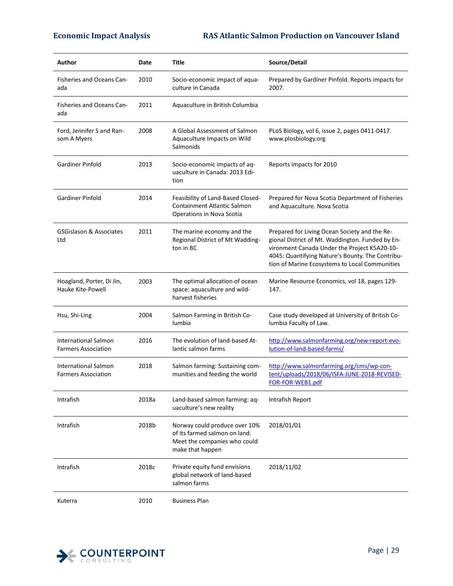| Author                                                    | Date  | Title                                                                                                              | Source/Detail                                                                                                                                                                                                                                           |
|-----------------------------------------------------------|-------|--------------------------------------------------------------------------------------------------------------------|---------------------------------------------------------------------------------------------------------------------------------------------------------------------------------------------------------------------------------------------------------|
| Fisheries and Oceans Can-<br>ada                          | 2010  | Socio-economic impact of aqua-<br>culture in Canada                                                                | Prepared by Gardiner Pinfold. Reports impacts for<br>2007.                                                                                                                                                                                              |
| <b>Fisheries and Oceans Can-</b><br>ada                   | 2011  | Aquaculture in British Columbia                                                                                    |                                                                                                                                                                                                                                                         |
| Ford, Jennifer S and Ran-<br>som A Myers                  | 2008  | A Global Assessment of Salmon<br>Aquaculture Impacts on Wild<br>Salmonids                                          | PLoS Biology, vol 6, issue 2, pages 0411-0417.<br>www.plosbiology.org                                                                                                                                                                                   |
| Gardiner Pinfold                                          | 2013  | Socio-economic impacts of aq-<br>uaculture in Canada: 2013 Edi-<br>tion                                            | Reports impacts for 2010                                                                                                                                                                                                                                |
| <b>Gardiner Pinfold</b>                                   | 2014  | Feasibility of Land-Based Closed-<br>Containment Atlantic Salmon<br>Operations in Nova Scotia                      | Prepared for Nova Scotia Department of Fisheries<br>and Aquaculture. Nova Scotia                                                                                                                                                                        |
| GSGislason & Associates<br>Ltd                            | 2011  | The marine economy and the<br>Regional District of Mt Wadding-<br>ton in BC                                        | Prepared for Living Ocean Society and the Re-<br>gional District of Mt. Waddington. Funded by En-<br>vironment Canada Under the Project K5A20-10-<br>4045: Quantifying Nature's Bounty. The Contribu-<br>tion of Marine Ecosystems to Local Communities |
| Hoagland, Porter, Di Jin,<br>Hauke Kite-Powell            | 2003  | The optimal allocation of ocean<br>space: aquaculture and wild-<br>harvest fisheries                               | Marine Resource Economics, vol 18, pages 129-<br>147.                                                                                                                                                                                                   |
| Hsu, Shi-Ling                                             | 2004  | Salmon Farming in British Co-<br>lumbia                                                                            | Case study developed at University of British Co-<br>lumbia Faculty of Law.                                                                                                                                                                             |
| <b>International Salmon</b><br><b>Farmers Association</b> | 2016  | The evolution of land-based At-<br>lantic salmon farms                                                             | http://www.salmonfarming.org/new-report-evo-<br>lution-of-land-based-farms/                                                                                                                                                                             |
| <b>International Salmon</b><br><b>Farmers Association</b> | 2018  | Salmon farming: Sustaining com-<br>munities and feeding the world                                                  | http://www.salmonfarming.org/cms/wp-con-<br>tent/uploads/2018/06/ISFA-JUNE-2018-REVISED-<br>FOR-FOR-WEB1.pdf                                                                                                                                            |
| Intrafish                                                 | 2018a | Land-based salmon farming: aq-<br>uaculture's new reality                                                          | Intrafish Report                                                                                                                                                                                                                                        |
| Intrafish                                                 | 2018b | Norway could produce over 10%<br>of its farmed salmon on land.<br>Meet the companies who could<br>make that happen | 2018/01/01                                                                                                                                                                                                                                              |
| Intrafish                                                 | 2018c | Private equity fund envisions<br>global network of land-based<br>salmon farms                                      | 2018/11/02                                                                                                                                                                                                                                              |
| Kuterra                                                   | 2010  | <b>Business Plan</b>                                                                                               |                                                                                                                                                                                                                                                         |

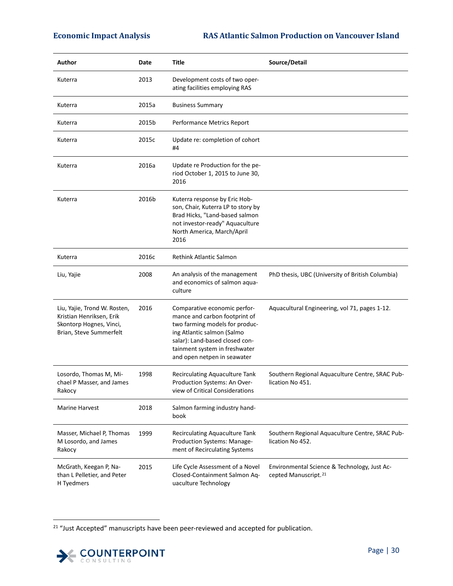| Author                                                                                                         | Date  | Title                                                                                                                                                                                                                           | Source/Detail                                                                    |
|----------------------------------------------------------------------------------------------------------------|-------|---------------------------------------------------------------------------------------------------------------------------------------------------------------------------------------------------------------------------------|----------------------------------------------------------------------------------|
| Kuterra                                                                                                        | 2013  | Development costs of two oper-<br>ating facilities employing RAS                                                                                                                                                                |                                                                                  |
| Kuterra                                                                                                        | 2015a | <b>Business Summary</b>                                                                                                                                                                                                         |                                                                                  |
| Kuterra                                                                                                        | 2015b | Performance Metrics Report                                                                                                                                                                                                      |                                                                                  |
| Kuterra                                                                                                        | 2015c | Update re: completion of cohort<br>#4                                                                                                                                                                                           |                                                                                  |
| Kuterra                                                                                                        | 2016a | Update re Production for the pe-<br>riod October 1, 2015 to June 30,<br>2016                                                                                                                                                    |                                                                                  |
| Kuterra                                                                                                        | 2016b | Kuterra response by Eric Hob-<br>son, Chair, Kuterra LP to story by<br>Brad Hicks, "Land-based salmon<br>not investor-ready" Aquaculture<br>North America, March/April<br>2016                                                  |                                                                                  |
| Kuterra                                                                                                        | 2016c | Rethink Atlantic Salmon                                                                                                                                                                                                         |                                                                                  |
| Liu, Yajie                                                                                                     | 2008  | An analysis of the management<br>and economics of salmon aqua-<br>culture                                                                                                                                                       | PhD thesis, UBC (University of British Columbia)                                 |
| Liu, Yajie, Trond W. Rosten,<br>Kristian Henriksen, Erik<br>Skontorp Hognes, Vinci,<br>Brian, Steve Summerfelt | 2016  | Comparative economic perfor-<br>mance and carbon footprint of<br>two farming models for produc-<br>ing Atlantic salmon (Salmo<br>salar): Land-based closed con-<br>tainment system in freshwater<br>and open netpen in seawater | Aquacultural Engineering, vol 71, pages 1-12.                                    |
| Losordo, Thomas M, Mi-<br>chael P Masser, and James<br>Rakocy                                                  | 1998  | Recirculating Aquaculture Tank<br>Production Systems: An Over-<br>view of Critical Considerations                                                                                                                               | Southern Regional Aquaculture Centre, SRAC Pub-<br>lication No 451.              |
| <b>Marine Harvest</b>                                                                                          | 2018  | Salmon farming industry hand-<br>book                                                                                                                                                                                           |                                                                                  |
| Masser, Michael P, Thomas<br>M Losordo, and James<br>Rakocy                                                    | 1999  | Recirculating Aquaculture Tank<br>Production Systems: Manage-<br>ment of Recirculating Systems                                                                                                                                  | Southern Regional Aquaculture Centre, SRAC Pub-<br>lication No 452.              |
| McGrath, Keegan P, Na-<br>than L Pelletier, and Peter<br>H Tyedmers                                            | 2015  | Life Cycle Assessment of a Novel<br>Closed-Containment Salmon Aq-<br>uaculture Technology                                                                                                                                       | Environmental Science & Technology, Just Ac-<br>cepted Manuscript. <sup>21</sup> |

<span id="page-35-0"></span><sup>&</sup>lt;sup>21</sup> "Just Accepted" manuscripts have been peer-reviewed and accepted for publication.

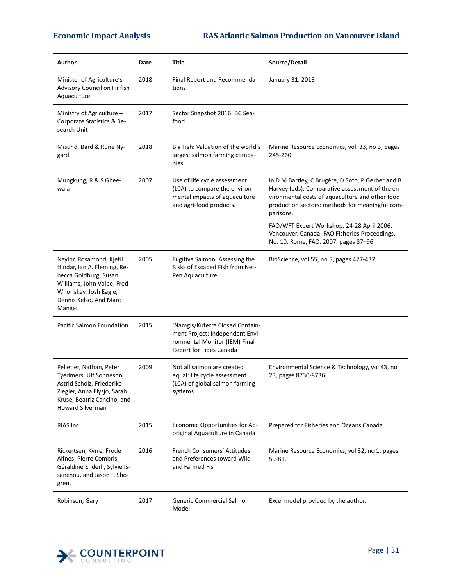| Author                                                                                                                                                                       | Date | Title                                                                                                                          | Source/Detail                                                                                                                                                                                                           |
|------------------------------------------------------------------------------------------------------------------------------------------------------------------------------|------|--------------------------------------------------------------------------------------------------------------------------------|-------------------------------------------------------------------------------------------------------------------------------------------------------------------------------------------------------------------------|
| Minister of Agriculture's<br>Advisory Council on Finfish<br>Aquaculture                                                                                                      | 2018 | Final Report and Recommenda-<br>tions                                                                                          | January 31, 2018                                                                                                                                                                                                        |
| Ministry of Agriculture -<br>Corporate Statistics & Re-<br>search Unit                                                                                                       | 2017 | Sector Snapshot 2016: BC Sea-<br>food                                                                                          |                                                                                                                                                                                                                         |
| Misund, Bard & Rune Ny-<br>gard                                                                                                                                              | 2018 | Big Fish: Valuation of the world's<br>largest salmon farming compa-<br>nies                                                    | Marine Resource Economics, vol 33, no 3, pages<br>245-260.                                                                                                                                                              |
| Mungkung, R & S Ghee-<br>wala                                                                                                                                                | 2007 | Use of life cycle assessment<br>(LCA) to compare the environ-<br>mental impacts of aquaculture<br>and agri-food products.      | In D M Bartley, C Brugère, D Soto, P Gerber and B<br>Harvey (eds). Comparative assessment of the en-<br>vironmental costs of aquaculture and other food<br>production sectors: methods for meaningful com-<br>parisons. |
|                                                                                                                                                                              |      |                                                                                                                                | FAO/WFT Expert Workshop. 24-28 April 2006,<br>Vancouver, Canada. FAO Fisheries Proceedings.<br>No. 10. Rome, FAO. 2007. pages 87-96                                                                                     |
| Naylor, Rosamond, Kjetil<br>Hindar, Ian A. Fleming, Re-<br>becca Goldburg, Susan<br>Williams, John Volpe, Fred<br>Whoriskey, Josh Eagle,<br>Dennis Kelso, And Marc<br>Mangel | 2005 | Fugitive Salmon: Assessing the<br>Risks of Escaped Fish from Net-<br>Pen Aquaculture                                           | BioScience, vol 55, no 5, pages 427-437.                                                                                                                                                                                |
| Pacific Salmon Foundation                                                                                                                                                    | 2015 | 'Namgis/Kuterra Closed Contain-<br>ment Project: Independent Envi-<br>ronmental Monitor (IEM) Final<br>Report for Tides Canada |                                                                                                                                                                                                                         |
| Pelletier, Nathan, Peter<br>Tyedmers, Ulf Sonneson,<br>Astrid Scholz, Friederike<br>Ziegler, Anna Flysjo, Sarah<br>Kruse, Beatriz Cancino, and<br>Howard Silverman           | 2009 | Not all salmon are created<br>equal: life cycle assessment<br>(LCA) of global salmon farming<br>systems                        | Environmental Science & Technology, vol 43, no<br>23, pages 8730-8736.                                                                                                                                                  |
| RIAS Inc                                                                                                                                                                     | 2015 | Economic Opportunities for Ab-<br>original Aquaculture in Canada                                                               | Prepared for Fisheries and Oceans Canada.                                                                                                                                                                               |
| Rickertsen, Kyrre, Frode<br>Alfnes, Pierre Combris,<br>Géraldine Enderli, Sylvie Is-<br>sanchou, and Jason F. Sho-<br>gren,                                                  | 2016 | French Consumers' Attitudes<br>and Preferences toward Wild<br>and Farmed Fish                                                  | Marine Resource Economics, vol 32, no 1, pages<br>59-81.                                                                                                                                                                |
| Robinson, Gary                                                                                                                                                               | 2017 | Generic Commercial Salmon<br>Model                                                                                             | Excel model provided by the author.                                                                                                                                                                                     |

![](_page_36_Picture_3.jpeg)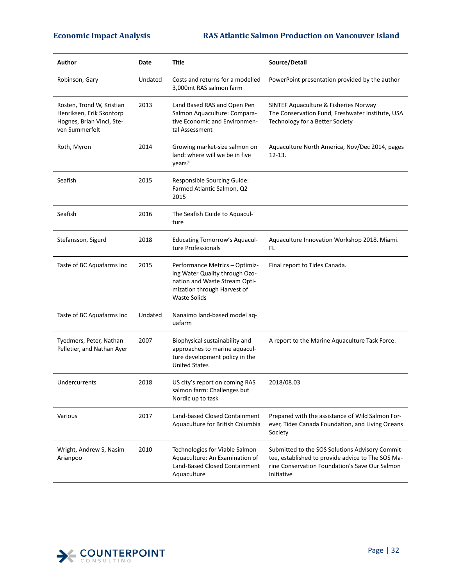| Author                                                                                               | Date    | Title                                                                                                                                                   | Source/Detail                                                                                                                                                        |
|------------------------------------------------------------------------------------------------------|---------|---------------------------------------------------------------------------------------------------------------------------------------------------------|----------------------------------------------------------------------------------------------------------------------------------------------------------------------|
| Robinson, Gary                                                                                       | Undated | Costs and returns for a modelled<br>3,000mt RAS salmon farm                                                                                             | PowerPoint presentation provided by the author                                                                                                                       |
| Rosten, Trond W, Kristian<br>Henriksen, Erik Skontorp<br>Hognes, Brian Vinci, Ste-<br>ven Summerfelt | 2013    | Land Based RAS and Open Pen<br>Salmon Aquaculture: Compara-<br>tive Economic and Environmen-<br>tal Assessment                                          | SINTEF Aquaculture & Fisheries Norway<br>The Conservation Fund, Freshwater Institute, USA<br>Technology for a Better Society                                         |
| Roth, Myron                                                                                          | 2014    | Growing market-size salmon on<br>land: where will we be in five<br>years?                                                                               | Aquaculture North America, Nov/Dec 2014, pages<br>$12 - 13.$                                                                                                         |
| Seafish                                                                                              | 2015    | Responsible Sourcing Guide:<br>Farmed Atlantic Salmon, Q2<br>2015                                                                                       |                                                                                                                                                                      |
| Seafish                                                                                              | 2016    | The Seafish Guide to Aquacul-<br>ture                                                                                                                   |                                                                                                                                                                      |
| Stefansson, Sigurd                                                                                   | 2018    | <b>Educating Tomorrow's Aquacul-</b><br>ture Professionals                                                                                              | Aquaculture Innovation Workshop 2018. Miami.<br>FL                                                                                                                   |
| Taste of BC Aquafarms Inc                                                                            | 2015    | Performance Metrics - Optimiz-<br>ing Water Quality through Ozo-<br>nation and Waste Stream Opti-<br>mization through Harvest of<br><b>Waste Solids</b> | Final report to Tides Canada.                                                                                                                                        |
| Taste of BC Aquafarms Inc                                                                            | Undated | Nanaimo land-based model aq-<br>uafarm                                                                                                                  |                                                                                                                                                                      |
| Tyedmers, Peter, Nathan<br>Pelletier, and Nathan Ayer                                                | 2007    | Biophysical sustainability and<br>approaches to marine aquacul-<br>ture development policy in the<br><b>United States</b>                               | A report to the Marine Aquaculture Task Force.                                                                                                                       |
| Undercurrents                                                                                        | 2018    | US city's report on coming RAS<br>salmon farm: Challenges but<br>Nordic up to task                                                                      | 2018/08.03                                                                                                                                                           |
| Various                                                                                              | 2017    | Land-based Closed Containment<br>Aquaculture for British Columbia                                                                                       | Prepared with the assistance of Wild Salmon For-<br>ever, Tides Canada Foundation, and Living Oceans<br>Society                                                      |
| Wright, Andrew S, Nasim<br>Arianpoo                                                                  | 2010    | Technologies for Viable Salmon<br>Aquaculture: An Examination of<br>Land-Based Closed Containment<br>Aquaculture                                        | Submitted to the SOS Solutions Advisory Commit-<br>tee, established to provide advice to The SOS Ma-<br>rine Conservation Foundation's Save Our Salmon<br>Initiative |

![](_page_37_Picture_3.jpeg)